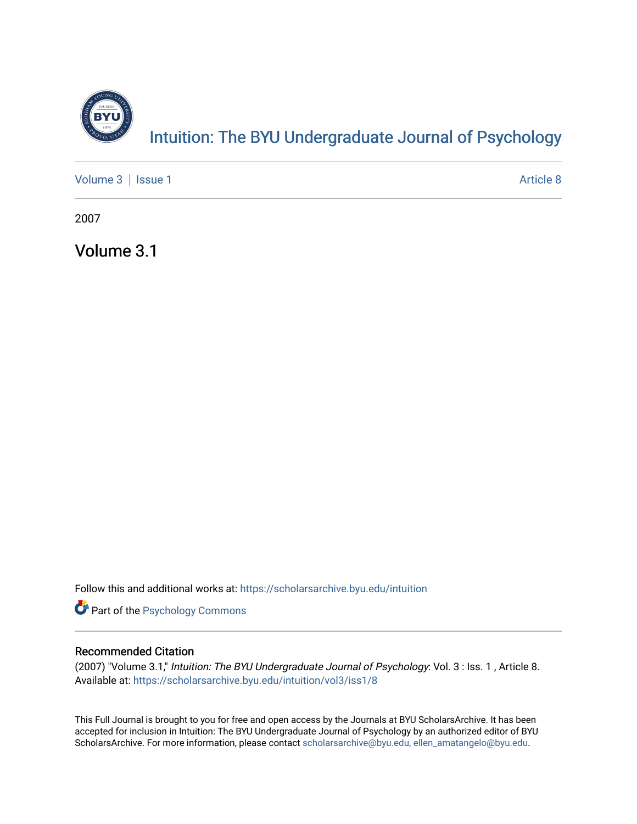

[Volume 3](https://scholarsarchive.byu.edu/intuition/vol3) | [Issue 1](https://scholarsarchive.byu.edu/intuition/vol3/iss1) Article 8

2007

Volume 3.1

Follow this and additional works at: [https://scholarsarchive.byu.edu/intuition](https://scholarsarchive.byu.edu/intuition?utm_source=scholarsarchive.byu.edu%2Fintuition%2Fvol3%2Fiss1%2F8&utm_medium=PDF&utm_campaign=PDFCoverPages) 

**Part of the Psychology Commons** 

#### Recommended Citation

(2007) "Volume 3.1," Intuition: The BYU Undergraduate Journal of Psychology: Vol. 3 : Iss. 1 , Article 8. Available at: [https://scholarsarchive.byu.edu/intuition/vol3/iss1/8](https://scholarsarchive.byu.edu/intuition/vol3/iss1/8?utm_source=scholarsarchive.byu.edu%2Fintuition%2Fvol3%2Fiss1%2F8&utm_medium=PDF&utm_campaign=PDFCoverPages)

This Full Journal is brought to you for free and open access by the Journals at BYU ScholarsArchive. It has been accepted for inclusion in Intuition: The BYU Undergraduate Journal of Psychology by an authorized editor of BYU ScholarsArchive. For more information, please contact [scholarsarchive@byu.edu, ellen\\_amatangelo@byu.edu.](mailto:scholarsarchive@byu.edu,%20ellen_amatangelo@byu.edu)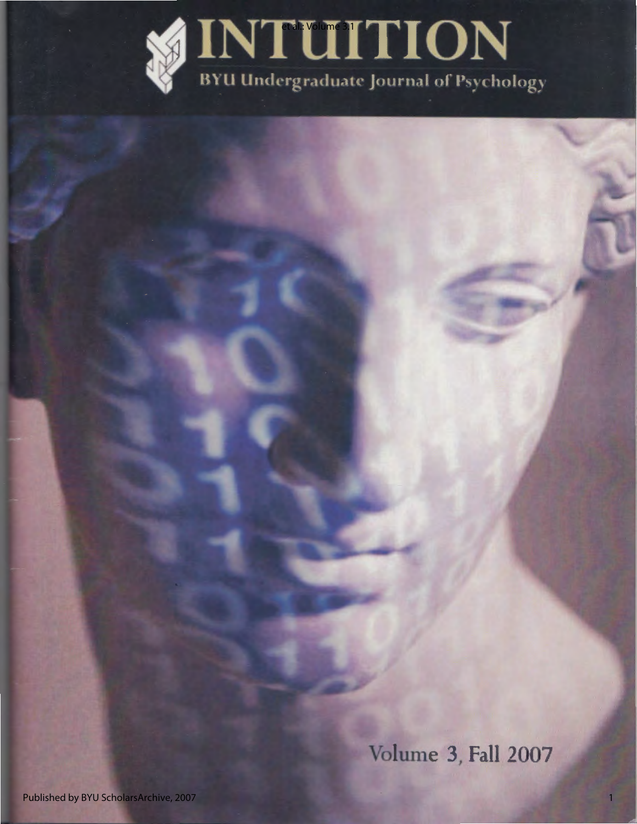

Volume 3, Fall 2007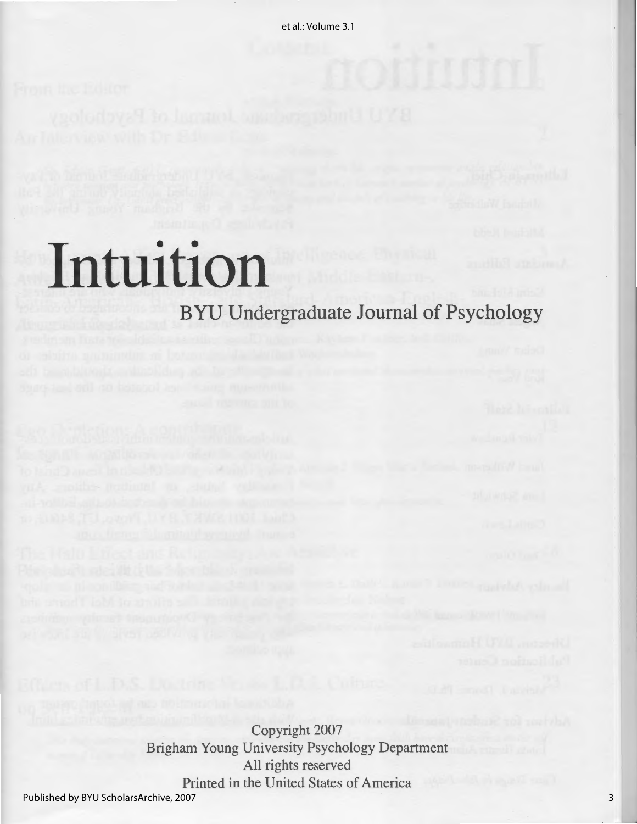**Intuition** 

# **BYU Undergraduate Journal of Psychology**

Copyright 2007 Brigham Young University Psychology Department All rights reserved Printed in the United States of America

Published by BYU ScholarsArchive, 2007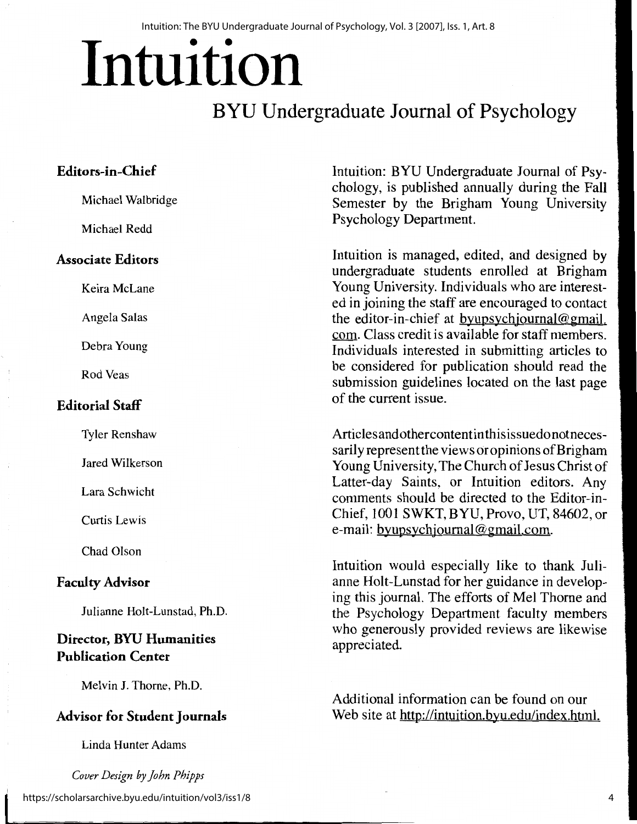# **Intuition**

# BYU Undergraduate Journal of Psychology

| Editors-in-Chief         | Intuition: BYU Undergraduate Journal of Psy-<br>chology, is published annually during the Fall          |  |  |  |
|--------------------------|---------------------------------------------------------------------------------------------------------|--|--|--|
| Michael Walbridge        | Semester by the Brigham Young University<br>Psychology Department.                                      |  |  |  |
| Michael Redd             |                                                                                                         |  |  |  |
| <b>Associate Editors</b> | Intuition is managed, edited, and designed by<br>undergraduate students enrolled at Brigham             |  |  |  |
| Keira McLane             | Young University. Individuals who are interest-<br>ed in joining the staff are encouraged to contact    |  |  |  |
| Angela Salas             | the editor-in-chief at byupsychiournal@gmail.<br>com. Class credit is available for staff members.      |  |  |  |
| Debra Young              | Individuals interested in submitting articles to                                                        |  |  |  |
| Rod Veas                 | be considered for publication should read the<br>submission guidelines located on the last page         |  |  |  |
| <b>Editorial Staff</b>   | of the current issue.                                                                                   |  |  |  |
| <b>Tyler Renshaw</b>     | Articlesandothercontent in this issue donot neces-<br>sarily represent the views or opinions of Brigham |  |  |  |
| Jared Wilkerson          | Young University, The Church of Jesus Christ of                                                         |  |  |  |
| Lara Schwicht            | Latter-day Saints, or Intuition editors. Any<br>comments should be directed to the Editor-in-           |  |  |  |
| <b>Curtis Lewis</b>      | Chief, 1001 SWKT, BYU, Provo, UT, 84602, or<br>e-mail: byupsychjournal@gmail.com.                       |  |  |  |
| Chad Olson               | Intuition would especially like to thank Juli-                                                          |  |  |  |
| <b>Faculty Advisor</b>   | anne Holt-Lunstad for her guidance in develop-                                                          |  |  |  |

appreciated.

Julianne Holt-Lunstad, Ph.D.

## **Director, BYU Humanities Publication Center**

Melvin J. Thorne, Ph.D.

## **Advisor for Student Journals**

Linda Hunter Adams

*Cover Design by John Phipps*  https://scholarsarchive.byu.edu/intuition/vol3/iss1/8 Additional information can be found on our Web site at http://intuition.byu.edu/index.html.

ing this journal. The efforts of Mel Thorne and the Psychology Department faculty members who generously provided reviews are likewise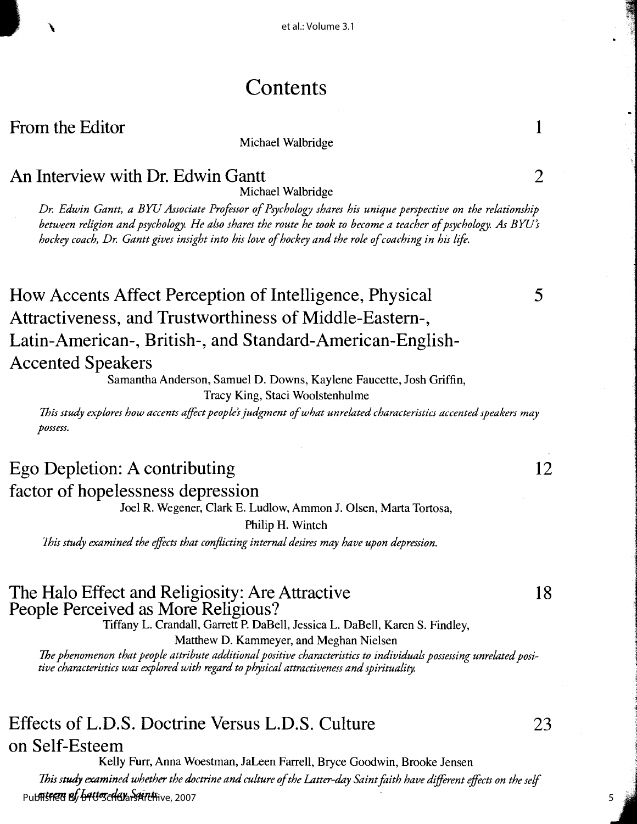# Contents

# From the Editor 1

 $\blacksquare$ 

#### Michael Walbridge

# An Interview with Dr. Edwin Gantt 2

Michael Walbridge

*Dr. Edwin Gantt, a BYU Associate Professor of Psychology shares his unique perspective on the relationship between religion and psychology. He also shares the route he took to become a teacher of psychology. As BYU's hockey coach, Dr. Gantt gives insight into his love of hockey and the role of coaching in his life.* 

How Accents Affect Perception of Intelligence, Physical Attractiveness, and Trustworthiness of Middle-Eastern-, Latin-American-, British-, and Standard-American-English-Accented Speakers

Samantha Anderson, Samuel D. Downs, Kaylene Faucette, Josh Griffin, Tracy King, Staci Woolstenhulme

*This study explores how accents affect people's judgment of what unrelated characteristics accented speakers may possess.* 

# Ego Depletion: A contributing

factor of hopelessness depression

Joel R. Wegener, Clark E. Ludlow, Ammon J. Olsen, Marta Tortosa,

Philip H. Wintch

*This study examined the effects that conflicting internal desires may have upon depression.* 

## The Halo Effect and Religiosity: Are Attractive 18 People Perceived as More Religious?

Tiffany L. Crandall, Garrett **P.** DaBell, Jessica L. DaBell, Karen S. Findley,

Matthew **D.** Kammeyer, and Meghan Nielsen

*The phenomenon that people attribute additional positive characteristics to individuals possessing unrelated positive characteristics was explored with regard to physical attractiveness and spirituality.* 

# Effects of L.D.S. Doctrine Versus L.D.S. Culture on Self-Esteem

Kelly Furr, Anna Woestman, JaLeen Farrell, Bryce Goodwin, Brooke Jensen This study examined whether the doctrine and culture of the Latter-day Saint faith have different effects on the self *esteem of Luter-day Saints.*  Published by BYU ScholarsArchive, 2007

23

**j**  5

12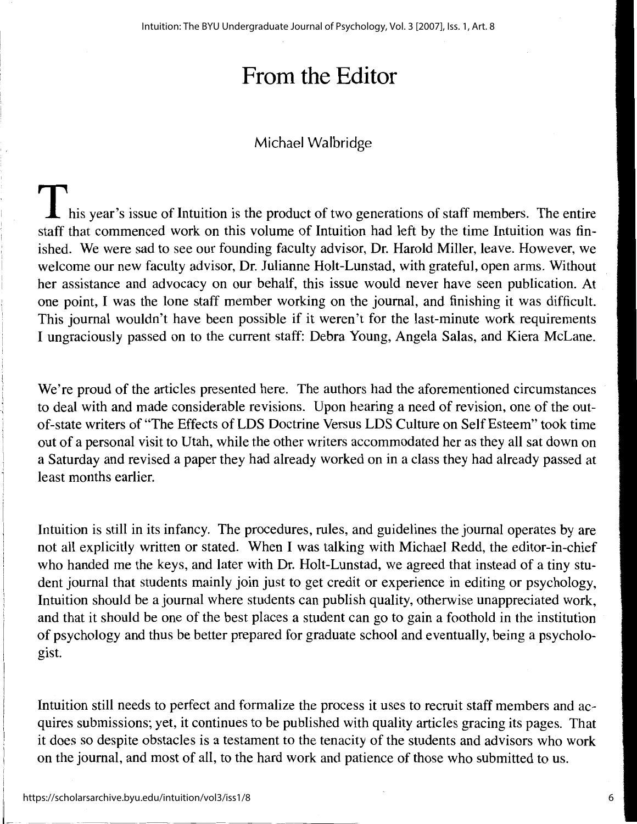# **From the Editor**

## Michael Walbridge

**This** year's issue of Intuition is the product of two generations of staff members. The entire staff that commenced work on this volume of Intuition had left by the time Intuition was finished. We were sad to see our founding faculty advisor, Dr. Harold Miller, leave. However, we welcome our new faculty advisor, Dr. Julianne Holt-Lunstad, with grateful, open arms. Without her assistance and advocacy on our behalf, this issue would never have seen publication. At one point, I was the lone staff member working on the journal, and finishing it was difficult. This journal wouldn't have been possible if it weren't for the last-minute work requirements I ungraciously passed on to the current staff: Debra Young, Angela Salas, and Kiera McLane.

We're proud of the articles presented here. The authors had the aforementioned circumstances to deal with and made considerable revisions. Upon hearing a need of revision, one of the outof-state writers of "The Effects of LOS Doctrine Versus LOS Culture on Self Esteem" took time out of a personal visit to Utah, while the other writers accommodated her as they all sat down on a Saturday and revised a paper they had already worked on in a class they had already passed at least months earlier.

Intuition is still in its infancy. The procedures, rules, and guidelines the journal operates by are not all explicitly written or stated. When I was talking with Michael Redd, the editor-in-chief who handed me the keys, and later with Dr. Holt-Lunstad, we agreed that instead of a tiny student journal that students mainly join just to get credit or experience in editing or psychology, Intuition should be a journal where students can publish quality, otherwise unappreciated work, and that it should be one of the best places a student can go to gain a foothold in the institution of psychology and thus be better prepared for graduate school and eventually, being a psychologist.

Intuition still needs to perfect and formalize the process it uses to recruit staff members and acquires submissions; yet, it continues to be published with quality articles gracing its pages. That it does so despite obstacles is a testament to the tenacity of the students and advisors who work on the journal, and most of all, to the hard work and patience of those who submitted to us.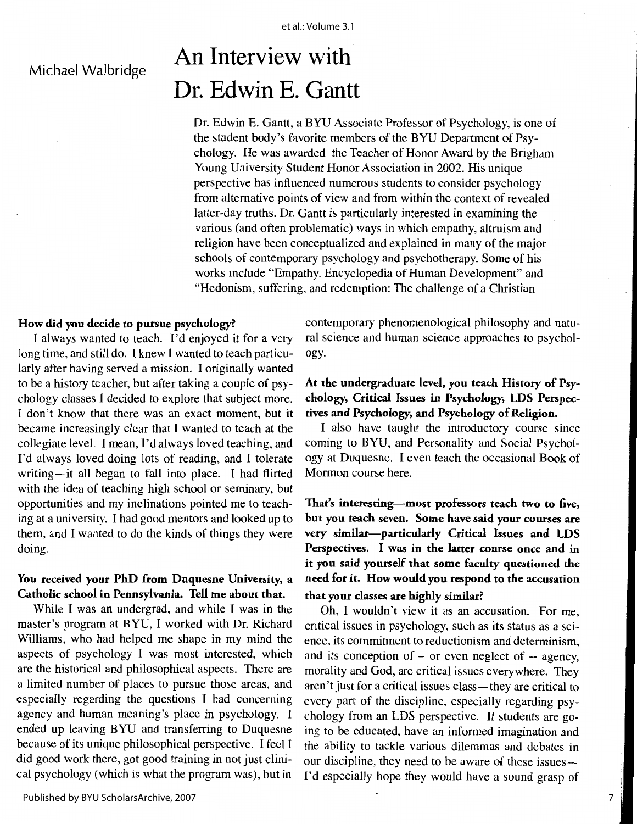Michael Walbridge

# An Interview with Dr. Edwin E. Gantt

Dr. Edwin E. Gantt, a BYU Associate Professor of Psychology, is one of the student body's favorite members of the BYU Department of Psychology. He was awarded the Teacher of Honor Award by the Brigham Young University Student Honor Association in 2002. His unique perspective has influenced numerous students to consider psychology from alternative points of view and from within the context of revealed latter-day truths. Dr. Gantt is particularly interested in examining the various (and often problematic) ways in which empathy, altruism and religion have been conceptualized and explained in many of the major schools of contemporary psychology and psychotherapy. Some of his works include "Empathy. Encyclopedia of Human Development" and "Hedonism, suffering, and redemption: The challenge of a Christian

#### **How did you decide to pursue psychology?**

I always wanted to teach. I'd enjoyed it for a very long time, and still do. I knew I wanted to teach particularly after having served a mission. I originally wanted to be a history teacher, but after taking a couple of psychology classes I decided to explore that subject more. I don't know that there was an exact moment, but it became increasingly clear that I wanted to teach at the collegiate level. I mean, I'd always loved teaching, and I'd always loved doing lots of reading, and I tolerate writing-it all began to fall into place. I had flirted with the idea of teaching high school or seminary, but opportunities and my inclinations pointed me to teaching at a university. I had good mentors and looked up to them, and I wanted to do the kinds of things they were doing.

#### **You received your PhD from Duquesne University, a Catholic school in Pennsylvania. Tell me about that.**

While I was an undergrad, and while I was in the master's program at BYU, I worked with Dr. Richard Williams, who had helped me shape in my mind the aspects of psychology I was most interested, which are the historical and philosophical aspects. There are a limited number of places to pursue those areas, and especially regarding the questions I had concerning agency and human meaning's place in psychology. I ended up leaving BYU and transferring to Duquesne because of its unique philosophical perspective. I feel I did good work there, got good training in not just clinical psychology (which is what the program was), but in

Published by BYU ScholarsArchive, 2007

contemporary phenomenological philosophy and natural science and human science approaches to psychology.

#### **At the undergraduate level, you teach History of Psychology, Critical Issues in Psychology, LOS Perspectives and Psychology, and Psychology of Religion.**

I also have taught the introductory course since coming to BYU, and Personality and Social Psychology at Duquesne. I even teach the occasional Book of Mormon course here.

**That's interesting-most professors teach two to five, but you teach seven. Some have said your courses are very similar-particularly Critical Issues and LOS Perspectives.** I **was in the latter course once and in**  it **you said yourself that some faculty questioned the need for it. How would you respond to the accusation that your classes are highly similar?** 

Oh, I wouldn't view it as an accusation. For me, critical issues in psychology, such as its status as a science, its commitment to reductionism and determinism, and its conception of - or even neglect of -- agency, morality and God, are critical issues everywhere. They aren't just for a critical issues class—they are critical to every part of the discipline, especially regarding psychology from an LDS perspective. If students are going to be educated, have an informed imagination and the ability to tackle various dilemmas and debates in our discipline, they need to be aware of these issues— I'd especially hope they would have a sound grasp of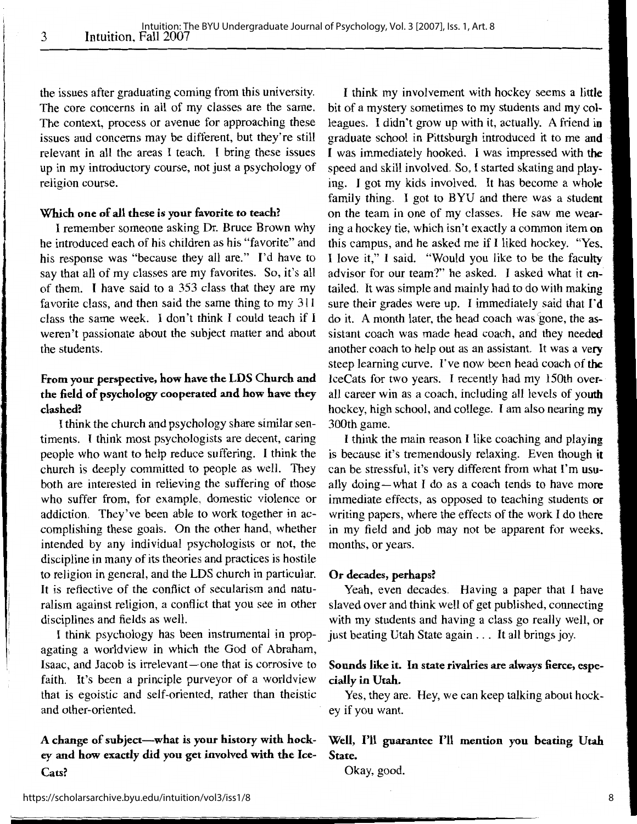the issues after graduating coming from this university. The core concerns in all of my classes are the same. The context, process or avenue for approaching these issues and concerns may be different, but they're still relevant in all the areas I teach. I bring these issues up in my introductory course, not just a psychology of religion course.

#### **Which one of all these is your favorite to teach?**

I remember someone asking Dr. Bruce Brown why he introduced each of his children as his "favorite" and his response was "because they all are." I'd have to say that all of my classes are my favorites. So, it's all of them. I have said to a 353 class that they are my favorite class, and then said the same thing to my 311 class the same week. I don't think I could teach if I weren't passionate about the subject matter and about the students.

#### **From your perspective, how have the LOS Church and the field of psychology cooperated and how have they clashed?**

I think the church and psychology share similar sentiments. I think most psychologists are decent, caring people who want to help reduce suffering. I think the church is deeply committed to people as well. They both are interested in relieving the suffering of those who suffer from, for example, domestic violence or addiction. They've been able to work together in accomplishing these goals. On the other hand, whether intended by any individual psychologists or not, the discipline in many of its theories and practices is hostile to religion in general, and the LDS church in particular. It is reflective of the conflict of secularism and naturalism against religion, a conflict that you see in other disciplines and fields as well.

I think psychology has been instrumental in propagating a worldview in which the God of Abraham, Isaac, and Jacob is irrelevant-one that is corrosive to faith. It's been a principle purveyor of a worldview that is egoistic and self-oriented, rather than theistic and other-oriented.

# **ey and how exactly did you get involved with the Ice- State. Cats?** Okay, good.

I think my involvement with hockey seems a **little**  bit of a mystery sometimes to my students and my colleagues. I didn't grow up with it, actually. A friend in graduate school in Pittsburgh introduced it to me and I was immediately hooked. I was impressed with the speed and skill involved. So, I started skating and playing. I got my kids involved. It has become a whole family thing. I got to BYU and there was a student on the team in one of my classes. He saw me wearing a hockey tie, which isn't exactly a common item **on**  this campus, and he asked me if I liked hockey. **"Yes.**  I love it," I said. "Would you like to be the faculty advisor for our team?" he asked. I asked what it entailed. It was simple and mainly had to do with making sure their grades were up. I immediately said that I'd do it. A month later, the head coach was 'gone, the assistant coach was made head coach, and they needed another coach to help out as an assistant. It was a very steep learning curve. I've now been head coach of **the**  IceCats for two years. I recently had my 150th overall career win as a coach, including all levels of **youth**  hockey, high school, and college. I am also nearing **my**  300th game.

I think the main reason I like coaching and playing is because it's tremendously relaxing. Even though **it**  can be stressful, it's very different from what I'm usually doing—what I do as a coach tends to have more immediate effects, as opposed to teaching students **or**  writing papers, where the effects of the work I do there in my field and job may not be apparent for weeks. months, or years.

#### **Or decades, perhaps?**

Yeah, even decades. Having a paper that I have slaved over and think well of get published, connecting with my students and having a class go really well, or just beating Utah State again ... It all brings joy.

#### **Sounds like it.** In **state rivalries are always fierce, espe**cially in Utah.

Yes, they are. Hey, we can keep talking about hockey if you want.

**A change of subject-what is your history with hock- Well, I'll guarantee I'll mention you beating Utah**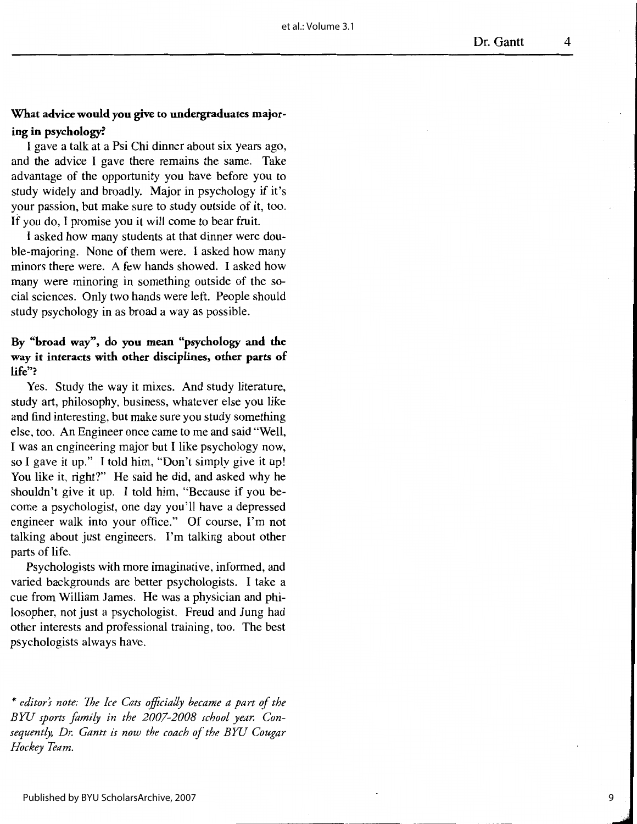#### **What advice would you give to undergraduates majoring in psychology?**

I gave a talk at a Psi Chi dinner about six years ago, and the advice I gave there remains the same. Take advantage of the opportunity you have before you to study widely and broadly. Major in psychology if it's your passion, but make sure to study outside of it, too. If you do, I promise you it will come to bear fruit.

I asked how many students at that dinner were double-majoring. None of them were. I asked how many minors there were. A few hands showed. I asked how many were minoring in something outside of the social sciences. Only two hands were left. People should study psychology in as broad a way as possible.

#### **By "broad way", do you mean "psychology and the way it interacts with other disciplines, other parts of**  life"?

Yes. Study the way it mixes. And study literature, study art, philosophy, business, whatever else you like and find interesting, but make sure you study something else, too. An Engineer once came to me and said "Well, I was an engineering major but I like psychology now, so I gave it up." I told him, "Don't simply give it up! You like it, right?" He said he did, and asked why he shouldn't give it up. I told him, "Because if you become a psychologist, one day you'll have a depressed engineer walk into your office." Of course, I'm not talking about just engineers. I'm talking about other parts of life.

Psychologists with more imaginative, informed, and varied backgrounds are better psychologists. I take a cue from William James. He was a physician and philosopher, not just a psychologist. Freud and Jung had other interests and professional training, too. The best psychologists always have.

\* *editor's note: The Ice Cats officially became a part of the BYU sports family in the 2007-2008 school year. Consequently, Dr. Gantt is now the coach of the BYU Cougar Hockey Team.*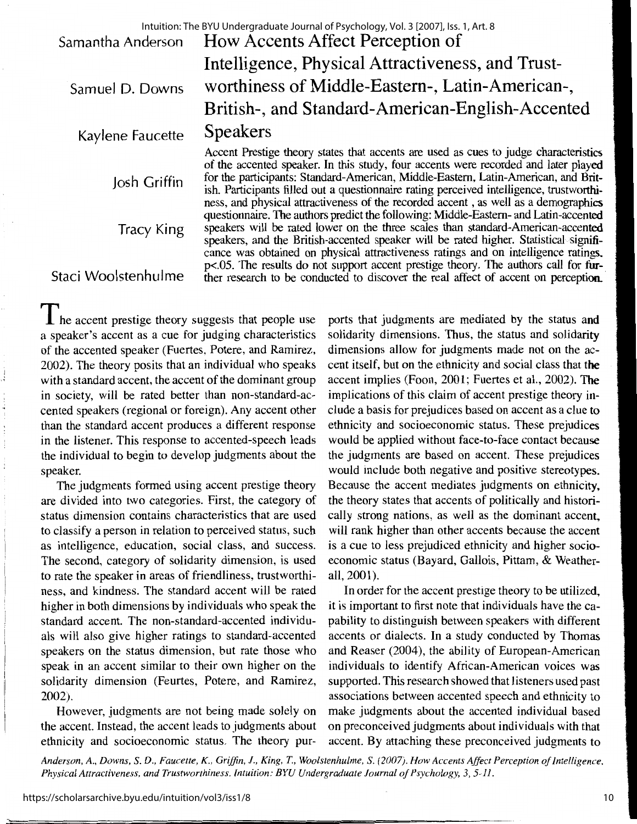| Intuition: The BYU Undergraduate Journal of Psychology, Vol. 3 [2007], Iss. 1, Art. 8 |                                                                                                                                                                                                                                                                                                                                                                                                                                                                                                                                              |  |  |  |  |
|---------------------------------------------------------------------------------------|----------------------------------------------------------------------------------------------------------------------------------------------------------------------------------------------------------------------------------------------------------------------------------------------------------------------------------------------------------------------------------------------------------------------------------------------------------------------------------------------------------------------------------------------|--|--|--|--|
| Samantha Anderson                                                                     | How Accents Affect Perception of                                                                                                                                                                                                                                                                                                                                                                                                                                                                                                             |  |  |  |  |
|                                                                                       | Intelligence, Physical Attractiveness, and Trust-                                                                                                                                                                                                                                                                                                                                                                                                                                                                                            |  |  |  |  |
| Samuel D. Downs                                                                       | worthiness of Middle-Eastern-, Latin-American-,                                                                                                                                                                                                                                                                                                                                                                                                                                                                                              |  |  |  |  |
|                                                                                       | British-, and Standard-American-English-Accented                                                                                                                                                                                                                                                                                                                                                                                                                                                                                             |  |  |  |  |
| Kaylene Faucette                                                                      | <b>Speakers</b>                                                                                                                                                                                                                                                                                                                                                                                                                                                                                                                              |  |  |  |  |
| Josh Griffin                                                                          | Accent Prestige theory states that accents are used as cues to judge characteristics<br>of the accented speaker. In this study, four accents were recorded and later played<br>for the participants: Standard-American, Middle-Eastern, Latin-American, and Brit-<br>ish. Participants filled out a questionnaire rating perceived intelligence, trustworthi-<br>ness, and physical attractiveness of the recorded accent, as well as a demographics<br>questionnaire. The authors predict the following: Middle-Eastern- and Latin-accented |  |  |  |  |
| <b>Tracy King</b>                                                                     | speakers will be rated lower on the three scales than standard-American-accented<br>speakers, and the British-accented speaker will be rated higher. Statistical signifi-                                                                                                                                                                                                                                                                                                                                                                    |  |  |  |  |
| Staci Woolstenhulme                                                                   | cance was obtained on physical attractiveness ratings and on intelligence ratings,<br>p<.05. The results do not support accent prestige theory. The authors call for fur-<br>ther research to be conducted to discover the real affect of accent on perception.                                                                                                                                                                                                                                                                              |  |  |  |  |

The accent prestige theory suggests that people use a speaker's accent as a cue for judging characteristics of the accented speaker (Fuertes, Potere, and Ramirez, 2002). The theory posits that an individual who speaks with a standard accent, the accent of the dominant group in society, will be rated better than non-standard-accented speakers (regional or foreign). Any accent other than the standard accent produces a different response in the listener. This response to accented-speech leads the individual to begin to develop judgments about the speaker.

The judgments formed using accent prestige theory are divided into two categories. First, the category of status dimension contains characteristics that are used to classify a person in relation to perceived status, such as intelligence, education, social class, and success. The second, category of solidarity dimension, is used to rate the speaker in areas of friendliness, trustworthiness, and kindness. The standard accent will be rated higher in both dimensions by individuals who speak the standard accent. The non-standard-accented individuals will also give higher ratings to standard-accented speakers on the status dimension, but rate those who speak in an accent similar to their own higher on the solidarity dimension (Feurtes, Potere, and Ramirez, 2002).

However, judgments are not being made solely on the accent. Instead, the accent leads to judgments about ethnicity and socioeconomic status. The theory purports that judgments are mediated by the status **and**  solidarity dimensions. Thus, the status and solidarity dimensions allow for judgments made not on the accent itself, but on the ethnicity and social class that **the**  accent implies (Foon, 2001; Fuertes et al., 2002). **The**  implications of this claim of accent prestige theory **in**clude a basis for prejudices based on accent as a clue **to**  ethnicity and socioeconomic status. These prejudices would be applied without face-to-face contact because the judgments are based on accent. These prejudices would include both negative and positive stereotypes. Because the accent mediates judgments on ethnicity, the theory states that accents of politically and historically strong nations, as well as the dominant accent. will rank higher than other accents because the accent is a cue to less prejudiced ethnicity and higher socioeconomic status (Bayard, Gallois, Pittam, & Weatherall, 2001).

In order for the accent prestige theory to be utilized, it is important to first note that individuals have the capability to distinguish between speakers with different accents or dialects. In a study conducted by Thomas and Reaser (2004), the ability of European-American individuals to identify African-American voices was supported. This research showed that listeners used past associations between accented speech and ethnicity to make judgments about the accented individual based on preconceived judgments about individuals with that accent. By attaching these preconceived judgments to

*Anderson,* A., *Downs,* S. *D., Faucette, K., Griffin, J., King, T., Woolstenhulme,* S. *(2007). How Accents Affect Perception of Intelligence. Physical Attractiveness, and Trustworthiness. Intuition: BYU Undergraduate Journal of Psychology, 3, 5-ll.*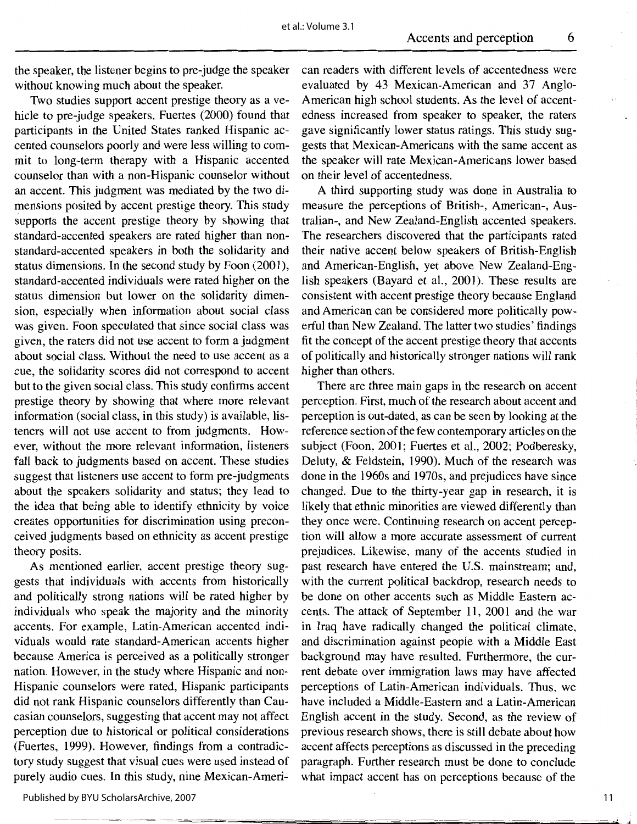the speaker, the listener begins to pre-judge the speaker without knowing much about the speaker.

Two studies support accent prestige theory as a vehicle to pre-judge speakers. Fuertes (2000) found that participants in the United States ranked Hispanic accented counselors poorly and were less willing to commit to long-term therapy with a Hispanic accented counselor than with a non-Hispanic counselor without an accent. This judgment was mediated by the two dimensions posited by accent prestige theory. This study supports the accent prestige theory by showing that standard-accented speakers are rated higher than nonstandard-accented speakers in both the solidarity and status dimensions. In the second study by Foon (2001), standard-accented individuals were rated higher on the status dimension but lower on the solidarity dimension, especially when information about social class was given. Foon speculated that since social class was given, the raters did not use accent to form a judgment about social class. Without the need to use accent as a cue, the solidarity scores did not correspond to accent but to the given social class. This study confirms accent prestige theory by showing that where more relevant information (social class, in this study) is available, listeners will not use accent to from judgments. However, without the more relevant information, listeners fall back to judgments based on accent. These studies suggest that listeners use accent to form pre-judgments about the speakers solidarity and status; they lead to the idea that being able to identify ethnicity by voice creates opportunities for discrimination using preconceived judgments based on ethnicity as accent prestige theory posits.

As mentioned earlier, accent prestige theory suggests that individuals with accents from historically and politically strong nations will be rated higher by individuals who speak the majority and the minority accents. For example, Latin-American accented individuals would rate standard-American accents higher because America is perceived as a politically stronger nation. However, in the study where Hispanic and non-Hispanic counselors were rated, Hispanic participants did not rank Hispanic counselors differently than Caucasian counselors, suggesting that accent may not affect perception due to historical or political considerations (Fuertes, 1999). However, findings from a contradictory study suggest that visual cues were used instead of purely audio cues. In this study, nine Mexican-Ameri-

Published by BYU ScholarsArchive, 2007

can readers with different levels of accentedness were evaluated by 43 Mexican-American and 37 Anglo-American high school students. As the level of accentedness increased from speaker to speaker, the raters gave significantly lower status ratings. This study suggests that Mexican-Americans with the same accent as the speaker will rate Mexican-Americans lower based on their level of accentedness.

A third supporting study was done in Australia to measure the perceptions of British-, American-, Australian-, and New Zealand-English accented speakers. The researchers discovered that the participants rated their native accent below speakers of British-English and American-English, yet above New Zealand-English speakers (Bayard et al., 2001). These results are consistent with accent prestige theory because England and American can be considered more politically powerful than New Zealand. The latter two studies' findings fit the concept of the accent prestige theory that accents of politically and historically stronger nations will rank higher than others.

There are three main gaps in the research on accent perception. First, much of the research about accent and perception is out-dated, as can be seen by looking at the reference section of the few contemporary articles on the subject (Foon, 2001; Fuertes et al., 2002; Podberesky, Deluty, & Feldstein, 1990). **Much** of the research was done in the 1960s and 1970s, and prejudices have since changed. Due to the thirty-year gap **in** research, it is likely that ethnic minorities are viewed differently than they once were. Continuing research on accent perception will allow a more accurate assessment of current prejudices. Likewise, many of the accents studied in past research have entered the U.S. mainstream; and, with the current political backdrop, research needs to be done on other accents such as Middle Eastern accents. The attack of September 11, 2001 and the war in Iraq have radically changed the political climate, and discrimination against people with a Middle East background may have resulted. Furthermore, the current debate over immigration laws may have affected perceptions of Latin-American individuals. Thus, we have included a Middle-Eastern and a Latin-American English accent in the study. Second, as the review of previous research shows, there is still debate about how accent affects perceptions as discussed in the preceding paragraph. Further research must be done to conclude what impact accent has on perceptions because of the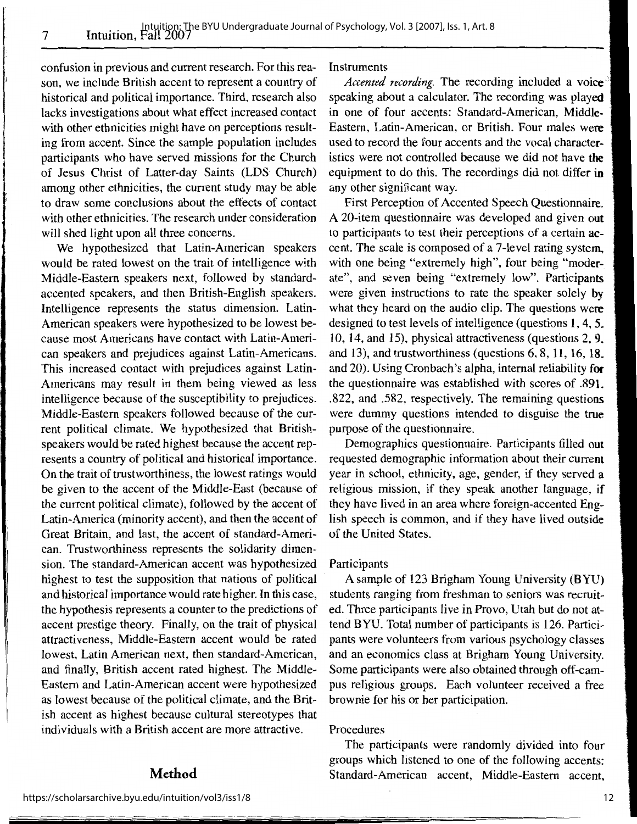confusion in previous and current research. For this reason, we include British accent to represent a country of historical and political importance. Third, research also lacks investigations about what effect increased contact with other ethnicities might have on perceptions resulting from accent. Since the sample population includes participants who have served missions for the Church of Jesus Christ of Latter-day Saints (LDS Church) among other ethnicities, the current study may be able to draw some conclusions about the effects of contact with other ethnicities. The research under consideration will shed light upon all three concerns.

We hypothesized that Latin-American speakers would be rated lowest on the trait of intelligence with Middle-Eastern speakers next, followed by standardaccented speakers, and then British-English speakers. Intelligence represents the status dimension. Latin-American speakers were hypothesized to be lowest because most Americans have contact with Latin-American speakers and prejudices against Latin-Americans. This increased contact with prejudices against Latin-Americans may result in them being viewed as less intelligence because of the susceptibility to prejudices. Middle-Eastern speakers followed because of the current political climate. We hypothesized that Britishspeakers would be rated highest because the accent represents a country of political and historical importance. On the trait of trustworthiness, the lowest ratings would be given to the accent of the Middle-East (because of the current political climate), followed by the accent of Latin-America (minority accent), and then the accent of Great Britain, and last, the accent of standard-American. Trustworthiness represents the solidarity dimension. The standard-American accent was hypothesized highest to test the supposition that nations of political and historical importance would rate higher. In this case, the hypothesis represents a counter to the predictions of accent prestige theory. Finally, on the trait of physical attractiveness, Middle-Eastern accent would be rated lowest, Latin American next, then standard-American, and finally, British accent rated highest. The Middle-Eastern and Latin-American accent were hypothesized as lowest because of the political climate, and the British accent as highest because cultural stereotypes that individuals with a British accent are more attractive.

#### **Method**

#### Instruments

*Accented recording.* The recording included a voice speaking about a calculator. The recording was played in one of four accents: Standard-American, Middle-Eastern, Latin-American, or British. Four males were used to record the four accents and the vocal characteristics were not controlled because we did not have **the**  equipment to do this. The recordings did not differ in any other significant way.

First Perception of Accented Speech Questionnaire. A 20-item questionnaire was developed and given **out**  to participants to test their perceptions of a certain accent. The scale is composed of a 7-level rating system. with one being "extremely high", four being "moderate", and seven being "extremely low". Participants were given instructions to rate the speaker solely **by**  what they heard on the audio clip. The questions were designed to test levels of intelligence ( questions 1, 4, *5.*  10, 14, and 15), physical attractiveness (questions 2, **9.**  and 13), and trustworthiness (questions 6, 8, 11, 16, **18.**  and 20). Using Cronbach's alpha, internal reliability **for**  the questionnaire was established with scores of .891. .822, and .582, respectively. The remaining questions were dummy questions intended to disguise the **true**  purpose of the questionnaire.

Demographics questionnaire. Participants filled **out**  requested demographic information about their **current**  year in school, ethnicity, age, gender, if they served **<sup>a</sup>** religious mission, if they speak another language, **if**  they have lived in an area where foreign-accented English speech is common, and if they have lived outside of the United States.

#### Participants

A sample of 123 Brigham Young University **(BYU)**  students ranging from freshman to seniors was recruited. Three participants live in Provo, Utah but do not attend **BYU.** Total number of participants is 126. Participants were volunteers from various psychology classes and an economics class at Brigham Young University. Some participants were also obtained through off-campus religious groups. Each volunteer received a free brownie for his or her participation.

#### Procedures

The participants were randomly divided into four groups which listened to one of the following accents: Standard-American accent, Middle-Eastern accent,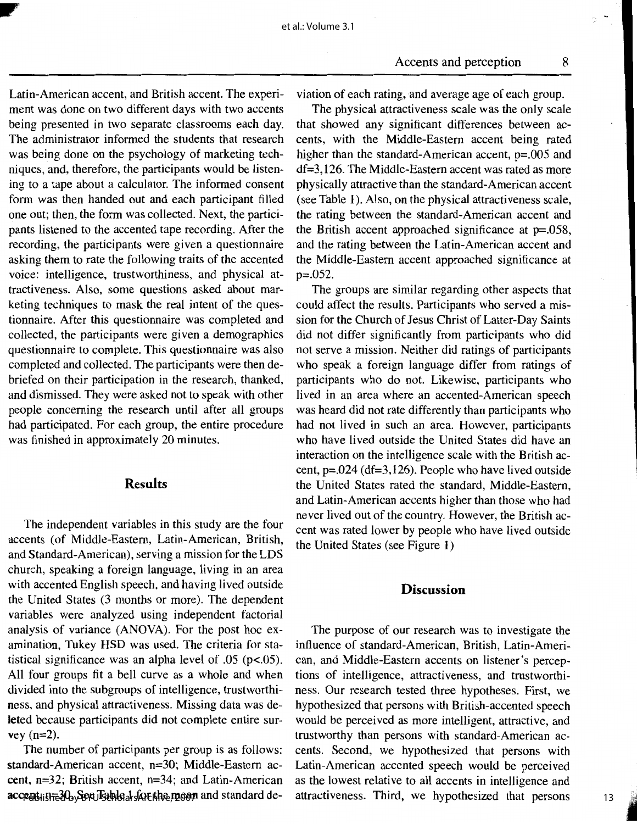#### Accents and perception 8

Latin-American accent, and British accent. The experiment was done on two different days with two accents being presented in two separate classrooms each day. The administrator informed the students that research was being done on the psychology of marketing techniques, and, therefore, the participants would be listening to a tape about a calculator. The informed consent form was then handed out and each participant filled one out; then, the form was collected. Next, the participants listened to the accented tape recording. After the recording, the participants were given a questionnaire asking them to rate the following traits of the accented voice: intelligence, trustworthiness, and physical attractiveness. Also, some questions asked about marketing techniques to mask the real intent of the questionnaire. After this questionnaire was completed and collected, the participants were given a demographics questionnaire to complete. This questionnaire was also completed and collected. The participants were then debriefed on their participation in the research, thanked, and dismissed. They were asked not to speak with other people concerning the research until after all groups had participated. For each group, the entire procedure was finished in approximately 20 minutes.

Ill and the control of

#### **Results**

The independent variables in this study are the four accents (of Middle-Eastern, Latin-American, British, and Standard-American), serving a mission for the LDS church, speaking a foreign language, living in an area with accented English speech, and having lived outside the United States (3 months or more). The dependent variables were analyzed using independent factorial analysis of variance (ANOVA). For the post hoc examination, Tukey HSD was used. The criteria for statistical significance was an alpha level of  $.05$  (p<.05). All four groups fit a bell curve as a whole and when divided into the subgroups of intelligence, trustworthiness, and physical attractiveness. Missing data was deleted because participants did not complete entire survey  $(n=2)$ .

The number of participants per group is as follows: standard-American accent, n=30; Middle-Eastern ac**cent,** n=32; British accent, n=34; and Latin-American **accent, mealby Bra Table**alsfor the mean and standard deviation of each rating, and average age of each group.

The physical attractiveness scale was the only scale that showed any significant differences between accents, with the Middle-Eastern accent being rated higher than the standard-American accent, p=.005 and df=3,126. The Middle-Eastern accent was rated as more physically attractive than the standard-American accent (see Table 1). Also, on the physical attractiveness scale, the rating between the standard-American accent and the British accent approached significance at p=.058, and the rating between the Latin-American accent and the Middle-Eastern accent approached significance at p=.052.

The groups are similar regarding other aspects that could affect the results. Participants who served a mission for the Church of Jesus Christ of Latter-Day Saints did not differ significantly from participants who did not serve a mission. Neither did ratings of participants who speak a foreign language differ from ratings of participants who do not. Likewise, participants who lived in an area where an accented-American speech was heard did not rate differently than participants who had not lived in such an area. However, participants who have lived outside the United States did have an interaction on the intelligence scale with the British accent, p=.024 (df=3,126). People who have lived outside the United States rated the standard, Middle-Eastern, and Latin-American accents higher than those who had never lived out of the country. However, the British accent was rated lower by people who have lived outside the United States (see Figure 1)

#### **Discussion**

The purpose of our research was to investigate the influence of standard-American, British, Latin-American, and Middle-Eastern accents on listener's perceptions of intelligence, attractiveness, and trustworthiness. Our research tested three hypotheses. First, we hypothesized that persons with British-accented speech would be perceived as more intelligent, attractive, and trustworthy than persons with standard-American accents. Second, we hypothesized that persons with Latin-American accented speech would be perceived as the lowest relative to all accents in intelligence and attractiveness. Third, we hypothesized that persons J

**a**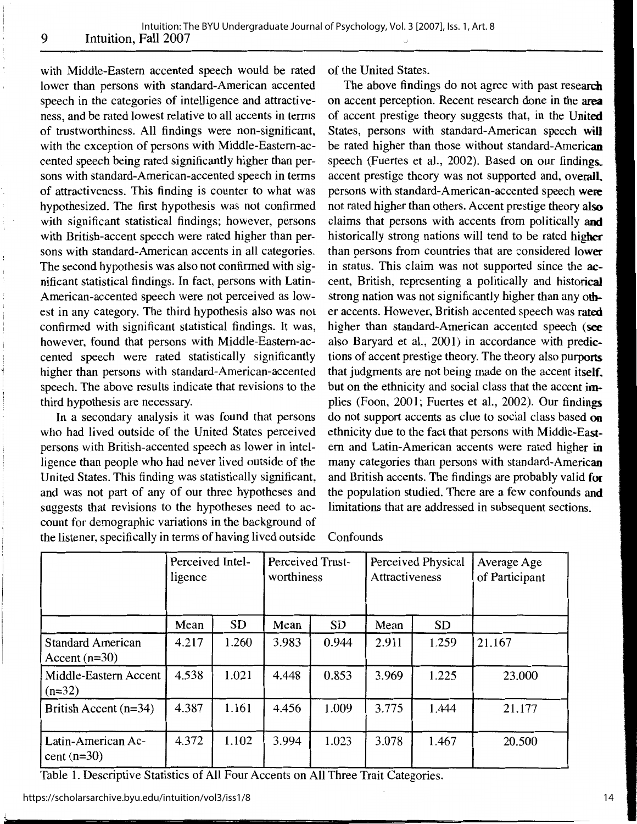with Middle-Eastern accented speech would be rated lower than persons with standard-American accented speech in the categories of intelligence and attractiveness, and be rated lowest relative to all accents in terms of trustworthiness. All findings were non-significant, with the exception of persons with Middle-Eastern-accented speech being rated significantly higher than persons with standard-American-accented speech in terms of attractiveness. This finding is counter to what was hypothesized. The first hypothesis was not confirmed with significant statistical findings; however, persons with British-accent speech were rated higher than persons with standard-American accents in all categories. The second hypothesis was also not confirmed with significant statistical findings. In fact, persons with Latin-American-accented speech were not perceived as lowest in any category. The third hypothesis also was not confirmed with significant statistical findings. It was, however, found that persons with Middle-Eastern-accented speech were rated statistically significantly higher than persons with standard-American-accented speech. The above results indicate that revisions to the third hypothesis are necessary.

In a secondary analysis it was found that persons who had lived outside of the United States perceived persons with British-accented speech as lower in intelligence than people who had never lived outside of the United States. This finding was statistically significant, and was not part of any of our three hypotheses and suggests that revisions to the hypotheses need to account for demographic variations in the background of the listener, specifically in terms of having lived outside of the United States.

The above findings do not agree with past **research**  on accent perception. Recent research done in the **area**  of accent prestige theory suggests that, in the **United**  States, persons with standard-American speech **will**  be rated higher than those without standard-American speech (Fuertes et al., 2002). Based on our findings. accent prestige theory was not supported and, overall, persons with standard-American-accented speech **were**  not rated higher than others. Accent prestige theory **also**  claims that persons with accents from politically **and**  historically strong nations will tend to be rated **higher**  than persons from countries that are considered **lower**  in status. This claim was not supported since the accent, British, representing a politically and historical strong nation was not significantly higher than any **oth**er accents. However, British accented speech was **rated**  higher than standard-American accented speech **(see**  also Baryard et al., 2001) in accordance with predictions of accent prestige theory. The theory also purports that judgments are not being made on the accent itself. but on the ethnicity and social class that the accent implies (Foon, 2001; Fuertes et al., 2002). Our findings do not support accents as clue to social class based **on**  ethnicity due to the fact that persons with Middle-Eastern and Latin-American accents were rated higher in many categories than persons with standard-American and British accents. The findings are probably valid **for**  the population studied. There are a few confounds **and**  limitations that are addressed in subsequent sections.

Confounds

|                                             | Perceived Intel-<br>ligence |           | <b>Perceived Trust-</b><br>worthiness |           | Perceived Physical<br>Attractiveness |           | Average Age<br>of Participant |
|---------------------------------------------|-----------------------------|-----------|---------------------------------------|-----------|--------------------------------------|-----------|-------------------------------|
|                                             | Mean                        | <b>SD</b> | Mean                                  | <b>SD</b> | Mean                                 | <b>SD</b> |                               |
| <b>Standard American</b><br>Accent $(n=30)$ | 4.217                       | 1.260     | 3.983                                 | 0.944     | 2.911                                | 1.259     | 21.167                        |
| Middle-Eastern Accent<br>$(n=32)$           | 4.538                       | 1.021     | 4.448                                 | 0.853     | 3.969                                | 1.225     | 23.000                        |
| British Accent $(n=34)$                     | 4.387                       | 1.161     | 4.456                                 | 1.009     | 3.775                                | 1.444     | 21.177                        |
| Latin-American Ac-<br>cent $(n=30)$         | 4.372                       | 1.102     | 3.994                                 | 1.023     | 3.078                                | 1.467     | 20.500                        |

Table 1. Descriptive Statistics of All Four Accents on All Three Trait Categories.

https://scholarsarchive.byu.edu/intuition/vol3/iss1/8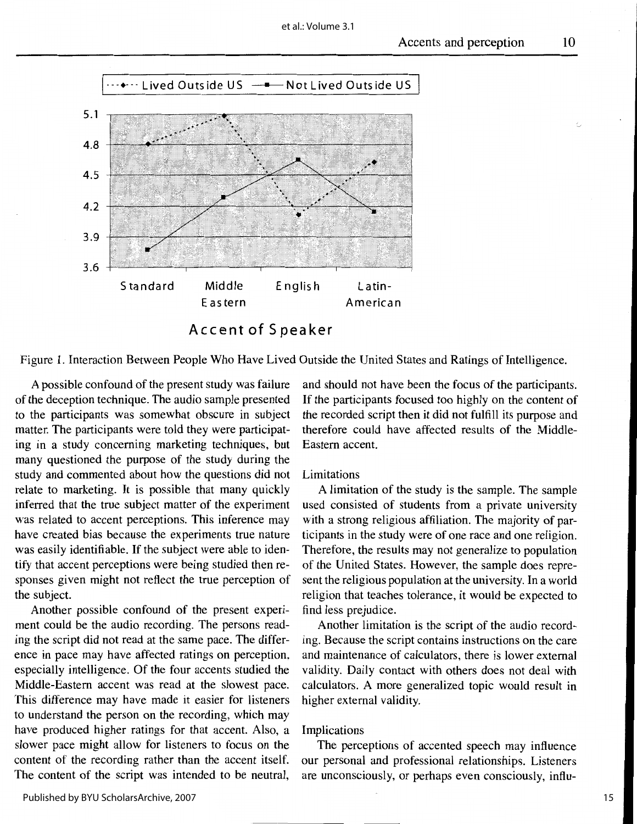

**Accent of Speaker** 



A possible confound of the present study was failure of the deception technique. The audio sample presented to the participants was somewhat obscure in subject matter. The participants were told they were participating in a study concerning marketing techniques, but many questioned the purpose of the study during the study and commented about how the questions did not relate to marketing. It is possible that many quickly inferred that the true subject matter of the experiment was related to accent perceptions. This inference may have created bias because the experiments true nature was easily identifiable. If the subject were able to identify that accent perceptions were being studied then responses given might not reflect the true perception of the subject.

Another possible confound of the present experiment could be the audio recording. The persons reading the script did not read at the same pace. The difference in pace may have affected ratings on perception, especially intelligence. Of the four accents studied the Middle-Eastern accent was read at the slowest pace. This difference may have made it easier for listeners to understand the person on the recording, which may have produced higher ratings for that accent. Also, a slower pace might allow for listeners to focus on the content of the recording rather than the accent itself. The content of the script was intended to be neutral, and should not have been the focus of the participants. If the participants focused too highly on the content of the recorded script then it did not fulfill its purpose and therefore could have affected results of the Middle-Eastern accent.

#### Limitations

A limitation of the study is the sample. The sample used consisted of students from a private university with a strong religious affiliation. The majority of participants in the study were of one race and one religion. Therefore, the results may not generalize to population of the United States. However, the sample does represent the religious population at the university. In a world religion that teaches tolerance, it would be expected to find less prejudice.

Another limitation is the script of the audio recording. Because the script contains instructions on the care and maintenance of calculators, there is lower external validity. Daily contact with others does not deal with calculators. A more generalized topic would result in higher external validity.

#### Implications

The perceptions of accented speech may influence our personal and professional relationships. Listeners are unconsciously, or perhaps even consciously, influ-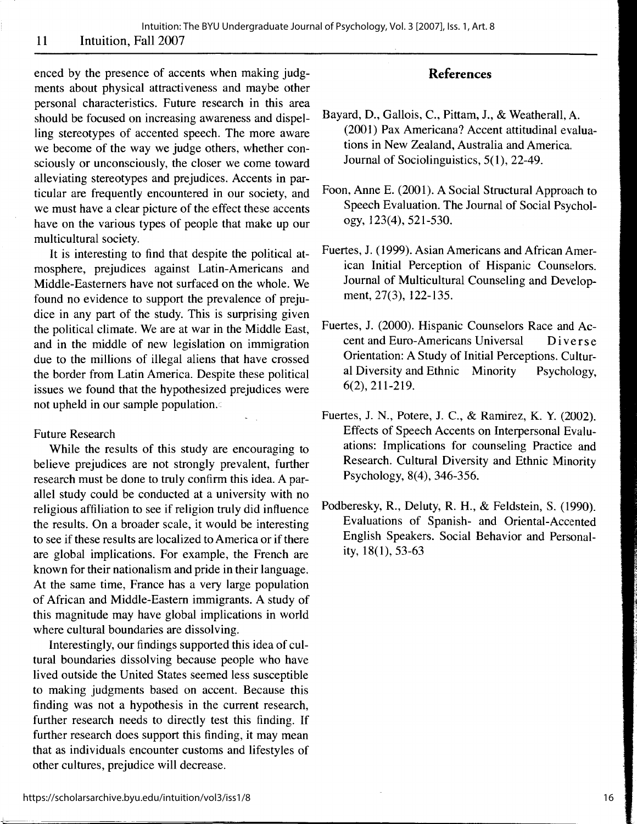enced by the presence of accents when making judgments about physical attractiveness and maybe other personal characteristics. Future research in this area should be focused on increasing awareness and dispelling stereotypes of accented speech. The more aware we become of the way we judge others, whether consciously or unconsciously, the closer we come toward alleviating stereotypes and prejudices. Accents in particular are frequently encountered in our society, and we must have a clear picture of the effect these accents have on the various types of people that make up our multicultural society.

It is interesting to find that despite the political atmosphere, prejudices against Latin-Americans and Middle-Easterners have not surfaced on the whole. We found no evidence to support the prevalence of prejudice in any part of the study. This is surprising given the political climate. We are at war in the Middle East, and in the middle of new legislation on immigration due to the millions of illegal aliens that have crossed the border from Latin America. Despite these political issues we found that the hypothesized prejudices were not upheld in our sample population.

#### Future Research

While the results of this study are encouraging to believe prejudices are not strongly prevalent, further research must be done to truly confirm this idea. A parallel study could be conducted at a university with no religious affiliation to see if religion truly did influence the results. On a broader scale, it would be interesting to see if these results are localized to America or if there are global implications. For example, the French are known for their nationalism and pride in their language. At the same time, France has a very large population of African and Middle-Eastern immigrants. A study of this magnitude may have global implications in world where cultural boundaries are dissolving.

Interestingly, our findings supported this idea of cultural boundaries dissolving because people who have lived outside the United States seemed less susceptible to making judgments based on accent. Because this finding was not a hypothesis in the current research, further research needs to directly test this finding. If further research does support this finding, it may mean that as individuals encounter customs and lifestyles of other cultures, prejudice will decrease.

#### **References**

- Bayard, D., Gallois, C., Pittam, J., & Weatherall, A. (2001) Pax Americana? Accent attitudinal evaluations in New Zealand, Australia and America. Journal of Sociolinguistics, 5(1), 22-49.
- Foon, Anne E. (2001). A Social Structural Approach to Speech Evaluation. The Journal of Social Psychology, 123(4), 521-530.
- Fuertes, J. (1999). Asian Americans and African American Initial Perception of Hispanic Counselors. Journal of Multicultural Counseling and Development, 27(3), 122-135.
- Fuertes, J. (2000). Hispanic Counselors Race and Accent and Euro-Americans Universal Di verse Orientation: A Study of Initial Perceptions. Cultural Diversity and Ethnic Minority Psychology, 6(2), 211-219.
- Fuertes, J. N., Potere, J. C., & Ramirez, **K. Y.** (2002). Effects of Speech Accents on Interpersonal Evaluations: Implications for counseling Practice and Research. Cultural Diversity and Ethnic Minority Psychology, 8(4), 346-356.
- Podberesky, **R.,** Deluty, **R. H.,** & Feldstein, S. (1990). Evaluations of Spanish- and Oriental-Accented English Speakers. Social Behavior and Personality, 18(1), 53-63

.;,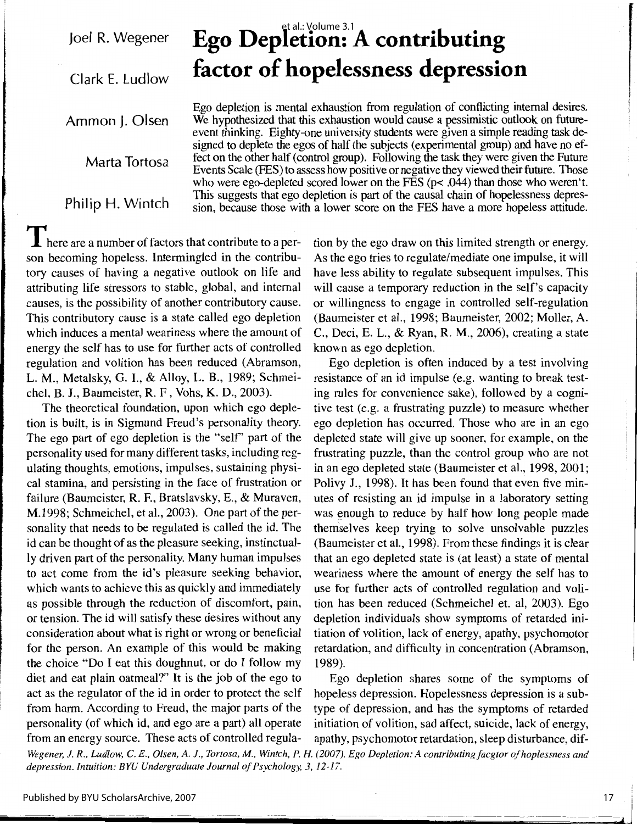### Joel R. Wegener

Clark E. Ludlow

Ammon J. Olsen

Marta Tortosa

Philip H. Wintch

# **Ego Depletion: A contributing factor of hopelessness depression**  et al.: Volume 3.1

Ego depletion is mental exhaustion from regulation of conflicting internal desires. We hypothesized that this exhaustion would cause a pessimistic outlook on futureevent thinking. Eighty-one university students were given a simple reading task designed to deplete the egos of half the subjects ( experimental group) and have no effect on the other half ( control group). Following the task they were given the Future Events Scale (FES) to assess how positive or negative they viewed their future. Those who were ego-depleted scored lower on the FES ( $p$ < .044) than those who weren't. This suggests that ego depletion is part of the causal chain of hopelessness depression, because those with a lower score on the FES have a more hopeless attitude.

**There are a number of factors that contribute to a per**son becoming hopeless. Intermingled in the contributory causes of having a negative outlook on life and attributing life stressors to stable, global, and internal causes, is the possibility of another contributory cause. This contributory cause is a state called ego depletion which induces a mental weariness where the amount of energy the self has to use for further acts of controlled regulation and volition has been reduced (Abramson, L. M., Metalsky, G. I., & Alloy, L. B., 1989; Schmeichel, B. J., Baumeister, R. F, Vohs, K. D., 2003).

The theoretical foundation, upon which ego depletion is built, is in Sigmund Freud's personality theory. The ego part of ego depletion is the "self' part of the personality used for many different tasks, including regulating thoughts, emotions, impulses, sustaining physical stamina, and persisting in the face of frustration or failure (Baumeister, R. F., Bratslavsky, E., & Muraven, M.1998; Schmeichel, et al., 2003). One part of the personality that needs to be regulated is called the id. The id can be thought of as the pleasure seeking, instinctually driven part of the personality. Many human impulses to act come from the id's pleasure seeking behavior, which wants to achieve this as quickly and immediately as possible through the reduction of discomfort, pain, or tension. The id will satisfy these desires without any consideration about what is right or wrong or beneficial for the person. An example of this would be making the choice "Do I eat this doughnut, or do I follow my diet and eat plain oatmeal?" It is the job of the ego to act as the regulator of the id in order to protect the self from harm. According to Freud, the major parts of the personality (of which id, and ego are a part) all operate from an energy source. These acts of controlled regula-*Wegener,* J. *R., Ludlow,* C. *E., Olsen, A. 1., Tortosa,* M., *Wintch, P. H. (2007). Ego Depletion: A contributing facgtor of haplessness and*  depression. Intuition: BYU Undergraduate Journal of Psychology, 3, 12-17.

tion by the ego draw on this limited strength or energy. As the ego tries to regulate/mediate one impulse, it will have less ability to regulate subsequent impulses. This will cause a temporary reduction in the self's capacity or willingness to engage in controlled self-regulation (Baumeister et al., 1998; Baumeister, 2002; Moller, A. C., Deci, E. L., & Ryan, **R. M.,** 2006), creating a state known as ego depletion.

Ego depletion is often induced by a test involving resistance of an id impulse (e.g. wanting to break testing rules for convenience sake), followed by a cognitive test (e.g. a frustrating puzzle) to measure whether ego depletion has occurred. Those who are in an ego depleted state will give up sooner, for example, on the frustrating puzzle, than the control group who are not in an ego depleted state (Baumeister et al., 1998, 2001; Polivy J., 1998). It has been found that even five minutes of resisting an id impulse in a laboratory setting was enough to reduce by half how long people made themselves keep trying to solve unsolvable puzzles (Baumeister et al., 1998). From these findings it is clear that an ego depleted state is (at least) a state of mental weariness where the amount of energy the self has to use for further acts of controlled regulation and volition has been reduced (Schmeichel et. al, 2003). Ego depletion individuals show symptoms of retarded initiation of volition, lack of energy, apathy, psychomotor retardation, and difficulty in concentration (Abramson, 1989).

Ego depletion shares some of the symptoms of hopeless depression. Hopelessness depression is a subtype of depression, and has the symptoms of retarded initiation of volition, sad affect, suicide, lack of energy, apathy, psychomotor retardation, sleep disturbance, dif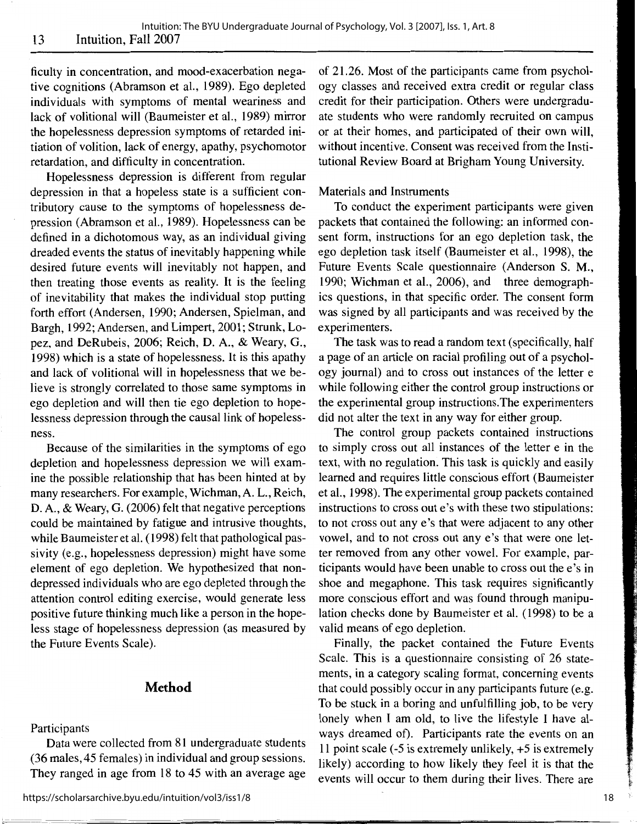ficulty in concentration, and mood-exacerbation negative cognitions (Abramson et al., 1989). Ego depleted individuals with symptoms of mental weariness and lack of volitional will (Baumeister et al., 1989) mirror the hopelessness depression symptoms of retarded initiation of volition, lack of energy, apathy, psychomotor retardation, and difficulty in concentration.

Hopelessness depression is different from regular depression in that a hopeless state is a sufficient contributory cause to the symptoms of hopelessness depression (Abramson et al., 1989). Hopelessness can be defined in a dichotomous way, as an individual giving dreaded events the status of inevitably happening while desired future events will inevitably not happen, and then treating those events as reality. It is the feeling of inevitability that makes the individual stop putting forth effort (Andersen, 1990; Andersen, Spielman, and Bargh, 1992; Andersen, and Limpert, 2001; Strunk, Lopez, and DeRubeis, 2006; Reich, D. A., & Weary, G., 1998) which is a state of hopelessness. It is this apathy and lack of volitional will in hopelessness that we believe is strongly correlated to those same symptoms in ego depletion and will then tie ego depletion to hopelessness depression through the causal link of hopelessness.

Because of the similarities in the symptoms of ego depletion and hopelessness depression we will examine the possible relationship that has been hinted at by many researchers. For example, Wichman, A. L., Reich, D. A., & Weary, G. (2006) felt that negative perceptions could be maintained by fatigue and intrusive thoughts, while Baumeister et al. ( 1998) felt that pathological passivity (e.g., hopelessness depression) might have some element of ego depletion. We hypothesized that nondepressed individuals who are ego depleted through the attention control editing exercise, would generate less positive future thinking much like a person in the hopeless stage of hopelessness depression (as measured by the Future Events Scale).

#### **Method**

Participants

Data were collected from 81 undergraduate students (36 males, 45 females) in individual and group sessions. They ranged in age from 18 to 45 with an average age

https://scholarsarchive.byu.edu/intuition/vol3/iss1/8

of 21.26. Most of the participants came from psychology classes and received extra credit or regular class credit for their participation. Others were undergraduate students who were randomly recruited on campus or at their homes, and participated of their own will, without incentive. Consent was received from the Institutional Review Board at Brigham Young University.

#### Materials and Instruments

To conduct the experiment participants were given packets that contained the following: an informed consent form, instructions for an ego depletion task, the ego depletion task itself (Baumeister et al., 1998), the Future Events Scale questionnaire (Anderson S. **M.,**  1990; Wichman et al., 2006), and three demographics questions, in that specific order. The consent form was signed by all participants and was received by the experimenters.

The task was to read a random text (specifically, half a page of an article on racial profiling out of a psychology journal) and to cross out instances of the letter e while following either the control group instructions or the experimental group instructions.The experimenters did not alter the text in any way for either group.

The control group packets contained instructions to simply cross out all instances of the letter e in the text, with no regulation. This task is quickly and easily learned and requires little conscious effort (Baumeister et al., 1998). The experimental group packets contained instructions to cross out e's with these two stipulations: to not cross out any e's that were adjacent to any other vowel, and to not cross out any e's that were one letter removed from any other vowel. For example, participants would have been unable to cross out the e's in shoe and megaphone. This task requires significantly more conscious effort and was found through manipulation checks done by Baumeister et al. ( 1998) to be a valid means of ego depletion.

Finally, the packet contained the Future Events Scale. This is a questionnaire consisting of 26 statements, in a category scaling format, concerning events that could possibly occur in any participants future (e.g. To be stuck in a boring and unfulfilling job, to be very lonely when I am old, to live the lifestyle I have always dreamed of). Participants rate the events on an 11 point scale (-5 is extremely unlikely, +5 is extremely likely) according to how likely they feel it is that the events will occur to them during their lives. There are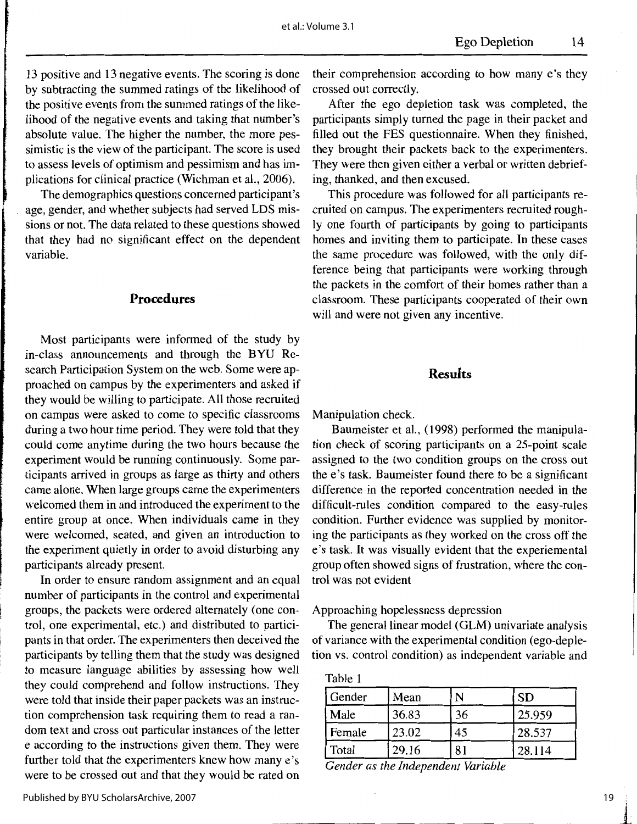13 positive and 13 negative events. The scoring is done by subtracting the summed ratings of the likelihood of the positive events from the summed ratings of the likelihood of the negative events and taking that number's absolute value. The higher the number, the more pessimistic is the view of the participant. The score is used to assess levels of optimism and pessimism and has implications for clinical practice (Wichman et al., 2006).

The demographics questions concerned participant's age, gender, and whether subjects had served LDS missions or not. The data related to these questions showed that they had no significant effect on the dependent variable.

#### **Procedures**

Most participants were informed of the study by in-class announcements and through the BYU Research Participation System on the web. Some were approached on campus by the experimenters and asked if they would be willing to participate. All those recruited on campus were asked to come to specific classrooms during a two hour time period. They were told that they could come anytime during the two hours because the experiment would be running continuously. Some participants arrived in groups as large as thirty and others came alone. When large groups came the experimenters welcomed them in and introduced the experiment to the entire group at once. When individuals came in they were welcomed, seated, and given an introduction to the experiment quietly in order to avoid disturbing any participants already present.

In order to ensure random assignment and an equal number of participants in the control and experimental groups, the packets were ordered alternately ( one control, one experimental, etc.) and distributed to participants in that order. The experimenters then deceived the participants by telling them that the study was designed to measure language abilities by assessing how well they could comprehend and follow instructions. They were told that inside their paper packets was an instruction comprehension task requiring them to read a random text and cross out particular instances of the letter e according to the instructions given them. They were further told that the experimenters knew how many e's were to be crossed out and that they would be rated on their comprehension according to how many e's they crossed out correctly.

After the ego depletion task was completed, the participants simply turned the page in their packet and filled out the FES questionnaire. When they finished, they brought their packets back to the experimenters. They were then given either a verbal or written debriefing, thanked, and then excused.

This procedure was followed for all participants recruited on campus. The experimenters recruited roughly one fourth of participants by going to participants homes and inviting them to participate. In these cases the same procedure was followed, with the only difference being that participants were working through the packets in the comfort of their homes rather than a classroom. These participants cooperated of their own will and were not given any incentive.

#### **Results**

Manipulation check.

Table 1

Baumeister et al., (1998) performed the manipulation check of scoring participants on a 25-point scale assigned to the two condition groups on the cross out the e's task. Baumeister found there to be a significant difference in the reported concentration needed in the difficult-rules condition compared to the easy-rules condition. Further evidence was supplied by monitoring the participants as they worked on the cross off the <sup>e</sup>'s task. It was visually evident that the experiemental group often showed signs of frustration, where the control was not evident

#### Approaching hopelessness depression

The general linear model **(GLM)** univariate analysis of variance with the experimental condition (ego-depletion vs. control condition) as independent variable and

| Gender | Mean  | N  | <b>SD</b> |
|--------|-------|----|-----------|
| Male   | 36.83 | 36 | 25.959    |
| Female | 23.02 | 45 | 28.537    |
| Total  | 29.16 | 81 | 28.114    |

*Gender as the Independent Variable*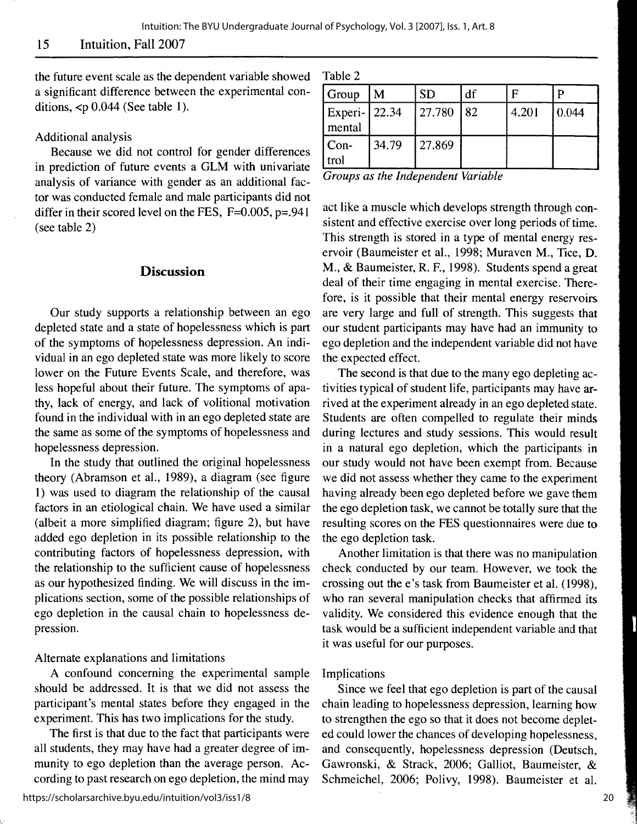Table 2

#### 15 Intuition, Fall 2007

the future event scale as the dependent variable showed a significant difference between the experimental conditions, <p 0.044 (See table **1).** 

#### Additional analysis

Because we did not control for gender differences in prediction of future events a GLM with univariate analysis of variance with gender as an additional factor was conducted female and male participants did not differ in their scored level on the FES,  $F=0.005$ ,  $p=.941$ (see table 2)

#### **Discussion**

Our study supports a relationship between an ego depleted state and a state of hopelessness which is part of the symptoms of hopelessness depression. An individual in an ego depleted state was more likely to score lower on the Future Events Scale, and therefore, was less hopeful about their future. The symptoms of apathy, lack of energy, and lack of volitional motivation found in the individual with in an ego depleted state are the same as some of the symptoms of hopelessness and hopelessness depression.

In the study that outlined the original hopelessness theory (Abramson et al., 1989), a diagram (see figure 1) was used to diagram the relationship of the causal factors in an etiological chain. We have used a similar (albeit a more simplified diagram; figure 2), but have added ego depletion in its possible relationship to the contributing factors of hopelessness depression, with the relationship to the sufficient cause of hopelessness as our hypothesized finding. We will discuss in the implications section, some of the possible relationships of ego depletion in the causal chain to hopelessness depression.

#### Alternate explanations and limitations

A confound concerning the experimental sample should be addressed. It is that we did not assess the participant's mental states before they engaged in the experiment. This has two implications for the study.

The first is that due to the fact that participants were all students, they may have had a greater degree of immunity to ego depletion than the average person. According to past research on ego depletion, the mind may

| ------                  |       |           |     |       |       |  |
|-------------------------|-------|-----------|-----|-------|-------|--|
| Group                   | М     | <b>SD</b> | df  |       |       |  |
| Experi- 22.34<br>mental |       | 27.780    | 182 | 4.201 | 0.044 |  |
|                         |       |           |     |       |       |  |
| Con-                    | 34.79 | 27.869    |     |       |       |  |
| trol                    |       |           |     |       |       |  |

*Groups as the Independent Variable* 

act like a muscle which develops strength through consistent and effective exercise over long periods of time. This strength is stored in a type of mental energy reservoir (Baumeister et al., 1998; Muraven M., Tice, **D. M.,** & Baumeister, R. F., 1998). Students spend a great deal of their time engaging in mental exercise. Therefore, is it possible that their mental energy reservoirs are very large and full of strength. This suggests that our student participants may have had an immunity to ego depletion and the independent variable did not have the expected effect.

The second is that due to the many ego depleting activities typical of student life, participants may have arrived at the experiment already in an ego depleted state. Students are often compelled to regulate their **minds**  during lectures and study sessions. This would **result**  in a natural ego depletion, which the participants in our study would not have been exempt from. Because we did not assess whether they came to the experiment having already been ego depleted before we gave them the ego depletion task, we cannot be totally sure that the resulting scores on the FES questionnaires were due **to**  the ego depletion task.

Another limitation is that there was no manipulation check conducted by our team. However, we took the crossing out the e's task from Baumeister et al. (1998), who ran several manipulation checks that affirmed its validity. We considered this evidence enough that the task would be a sufficient independent variable and that it was useful for our purposes.

#### Implications

Since we feel that ego depletion is part of the causal chain leading to hopelessness depression, learning how to strengthen the ego so that it does not become depleted could lower the chances of developing hopelessness, and consequently, hopelessness depression (Deutsch, Gawronski, & Strack, 2006; Galliot, Baumeister, & Schmeichel, 2006; Polivy, 1998). Baumeister et al.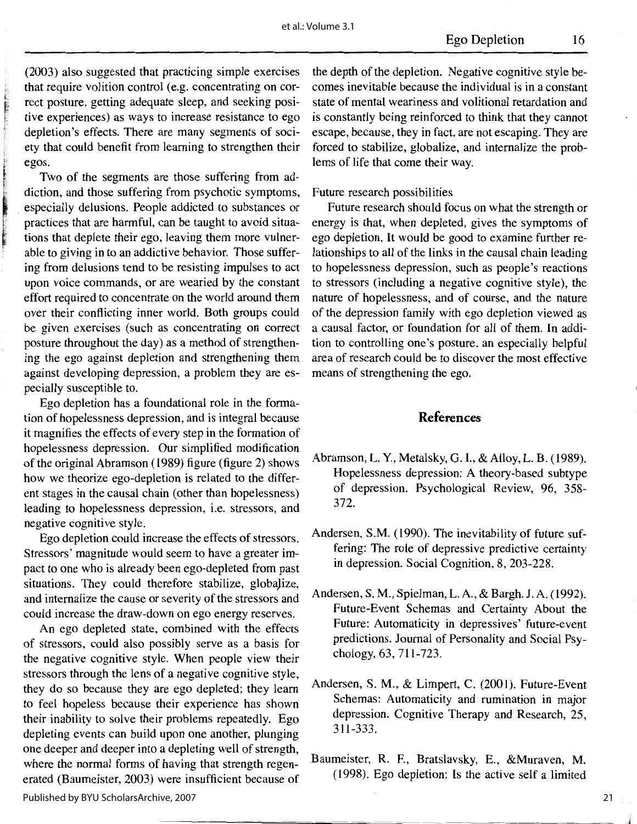(2003) also suggested that practicing simple exercises that require volition control (e.g. concentrating on correct posture, getting adequate sleep, and seeking positive experiences) as ways to increase resistance to ego depletion's effects. There are many segments of society that could benefit from learning to strengthen their egos.

' r t

I . . . .

i I; Two of the segments are those suffering from addiction, and those suffering from psychotic symptoms, especially delusions. People addicted to substances or practices that are harmful, can be taught to avoid situations that deplete their ego, leaving them more vulnerable to giving in to an addictive behavior. Those suffering from delusions tend to be resisting impulses to act upon voice commands, or are wearied by the constant effort required to concentrate on the world around them over their conflicting inner world. Both groups could be given exercises (such as concentrating on correct posture throughout the day) as a method of strengthening the ego against depletion and strengthening them against developing depression, a problem they are especially susceptible to.

Ego depletion has a foundational role in the formation of hopelessness depression, and is integral because it magnifies the effects of every step in the formation of hopelessness depression. Our simplified modification of the original Abramson ( 1989) figure (figure 2) shows how we theorize ego-depletion is related to the different stages in the causal chain ( other than hopelessness) leading to hopelessness depression, i.e. stressors, and negative cognitive style.

Ego depletion could increase the effects of stressors. Stressors' magnitude would seem to have a greater impact to one who is already been ego-depleted from past situations. They could therefore stabilize, globaJize, and internalize the cause or severity of the stressors and could increase the draw-down on ego energy reserves.

An ego depleted state, combined with the effects of stressors, could also possibly serve as a basis for the negative cognitive style. When people view their stressors through the lens of a negative cognitive style, they do so because they are ego depleted; they learn to feel hopeless because their experience has shown their inability to solve their problems repeatedly. Ego depleting events can build upon one another, plunging one deeper and deeper into a depleting well of strength, where the normal forms of having that strength regenerated (Baumeister, 2003) were insufficient because of Published by BYU ScholarsArchive, 2007

the depth of the depletion. Negative cognitive style becomes inevitable because the individual is in a constant state of mental weariness and volitional retardation and is constantly being reinforced to think that they cannot escape, because, they in fact, are not escaping. They are forced to stabilize, globalize, and internalize the problems of life that come their way.

#### Future research possibilities

Future research should focus on what the strength or energy is that, when depleted, gives the symptoms of ego depletion. It would be good to examine further relationships to all of the links in the causal chain leading to hopelessness depression, such as people's reactions to stressors (including a negative cognitive style), the nature of hopelessness, and of course, and the nature of the depression family with ego depletion viewed as a causal factor, or foundation for all of them. In addition to controlling one's posture, an especially helpful area of research could be to discover the most effective means of strengthening the ego.

#### **References**

- Abramson, L. Y., Metalsky, G. I., & Alloy, L. B. (1989). Hopelessness depression: A theory-based subtype of depression. Psychological Review, 96, 358- 372.
- Andersen, **S.M.** (1990). The inevitability of future suffering: The role of depressive predictive certainty in depression. Social Cognition, 8, 203-228.
- Andersen, **S. M.,** Spielman, L.A., & Bargh. J. A. (1992). Future-Event Schemas and Certainty About the Future: Automaticity in depressives' future-event predictions. Journal of Personality and Social Psychology, 63, 711-723.
- Andersen, S. M., & Limpert, C. (2001). Future-Event Schemas: Automaticity and rumination in major depression. Cognitive Therapy and Research, 25, 311-333.
- Baumeister, R. F., Bratslavsky, E., &Muraven, M. (1998). Ego depletion: Is the active self a limited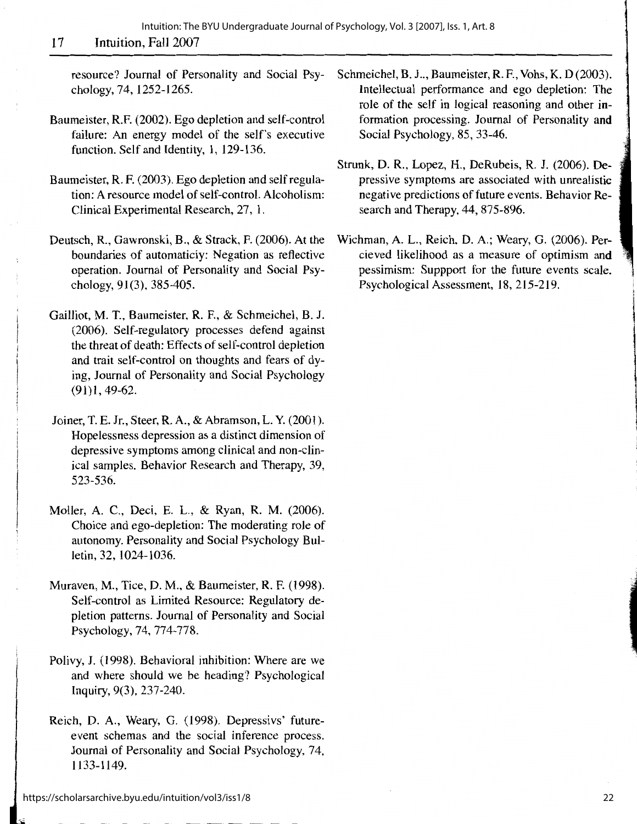17 Intuition, Fall 2007

resource? Journal of Personality and Social Psychology, 74, 1252-1265.

- Baumeister, R.F. (2002). Ego depletion and self-control failure: An energy model of the self's executive function. Self and Identity, 1, 129-136.
- Baumeister, R. F. (2003). Ego depletion and self regulation: A resource model of self-control. Alcoholism: Clinical Experimental Research, 27, 1.
- Deutsch, **R.,** Gawronski, **B.,** & Strack, F. (2006). At the boundaries of automaticiy: Negation as reflective operation. Journal of Personality and Social Psychology, 91(3), 385-405.
- Gailliot, M. T., Baumeister, **R.** F., & Schmeichel, B. J. (2006). Self-regulatory processes defend against the threat of death: Effects of self-control depletion and trait self-control on thoughts and fears of dying, Journal of Personality and Social Psychology (91)1, 49-62.
- Joiner, T. E. Jr., Steer, **R.** A., &Abramson, L. Y. (2001). Hopelessness depression as a distinct dimension of depressive symptoms among clinical and non-clinical samples. Behavior Research and Therapy, 39, 523-536.
- Moller, A. C., Deci, E. L., & Ryan, R. M. (2006). Choice and ego-depletion: The moderating role of autonomy. Personality and Social Psychology Bulletin, 32, 1024-1036.
- Muraven, M., Tice, D. M., & Baumeister, **R.** F. (1998). Self-control as Limited Resource: Regulatory depletion patterns. Journal of Personality and Social Psychology, 74, 774-778.
- Polivy, J. (1998). Behavioral inhibition: Where are we and where should we be heading? Psychological Inquiry, 9(3), 237-240.
- Reich, D. A., Weary, G. (1998). Depressivs' futureevent schemas and the social inference process. Journal of Personality and Social Psychology, 74, 1133-1149.

Schmeichel, **B. J .. ,** Baumeister, **R.** F., Vohs, **K. D** (2003). Intellectual performance and ego depletion: The role of the self in logical reasoning and other information processing. Journal of Personality **and**  Social Psychology, 85, 33-46.

<sup>~</sup>

- Strunk, **D.R.,** Lopez, **H.,** DeRubeis, R. J. (2006). **De**pressive symptoms are associated with unrealistic negative predictions of future events. Behavior **Re**search and Therapy, 44, 875-896.
- Wichman, A. L., Reich, D. A.; Weary, G. (2006). Percieved likelihood as a measure of optimism and pessimism: Suppport for the future events scale. Psychological Assessment, 18, 215-219.

https://scholarsarchive.byu.edu/intuition/vol3/iss1/8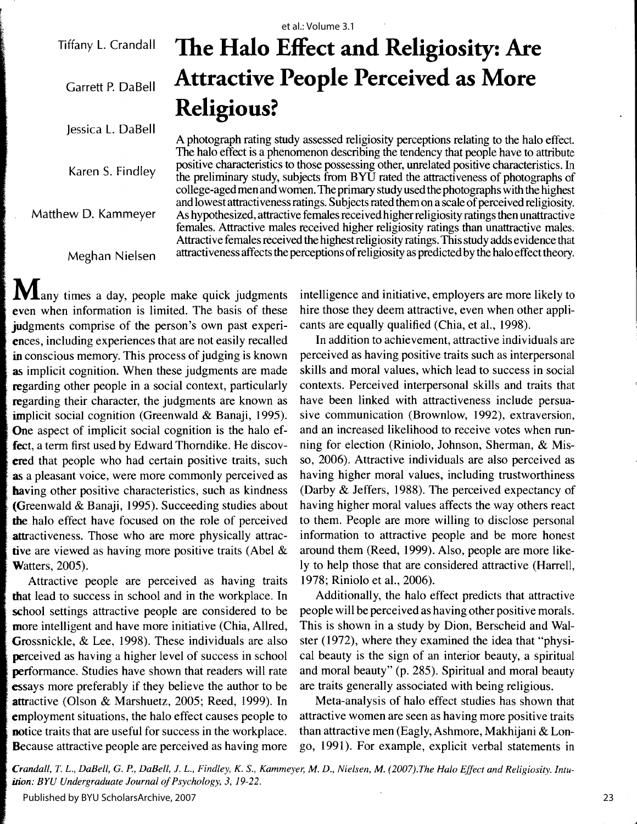#### Tiffany L. Crandall

Garrett P. DaBell

Jessica L. DaBell

Karen S. Findley

Matthew D. Kammeyer

Meghan Nielsen

# **The Halo Effect and Religiosity: Are Attractive People Perceived as More Religious?**

et al.: Volume 3.1

A photograph rating study assessed religiosity perceptions relating to the halo effect. The halo effect is a phenomenon describing the tendency that people have to attribute positive characteristics to those possessing other, unrelated positive characteristics. In the preliminary study, subjects from BYU rated the attractiveness of photographs of college-aged men and women. The primary study used the photographs with the highest and lowest attractiveness ratings. Subjects rated them on a scale of perceived religiosity. As hypothesized, attractive females received higher religiosity ratings then unattractive females. Attractive males received higher religiosity ratings than unattractive males. Attractive females received the highest religiosity ratings. This study adds evidence that attractiveness affects the perceptions of religiosity as predicted by the halo effect theory.

**M**any times a day, people make quick judgments even when information is limited. The basis of these judgments comprise of the person's own past experiences, including experiences that are not easily recalled in conscious memory. This process of judging is known **as** implicit cognition. When these judgments are made regarding other people in a social context, particularly regarding their character, the judgments are known as implicit social cognition (Greenwald & Banaji, 1995). **One** aspect of implicit social cognition is the halo ef**fect,** a term first used by Edward Thorndike. He discov**ered** that people who had certain positive traits, such **as a** pleasant voice, were more commonly perceived as **having** other positive characteristics, such as kindness (Greenwald & Banaji, 1995). Succeeding studies about **the** halo effect have focused on the role of perceived attractiveness. Those who are more physically attrac**tive** are viewed as having more positive traits (Abel & Watters, 2005).

Attractive people are perceived as having traits that lead to success in school and in the workplace. In school settings attractive people are considered to be more intelligent and have more initiative (Chia, Allred, Grossnickle, & Lee, 1998). These individuals are also **perceived as having a higher level of success in school performance.** Studies have shown that readers will rate **essays** more preferably if they believe the author to be **attractive** (Olson & Marshuetz, 2005; Reed, 1999). In **employment** situations, the halo effect causes people to **notice** traits that are useful for success in the workplace. **Because** attractive people are perceived as having more

intelligence and initiative, employers are more likely to hire those they deem attractive, even when other applicants are equally qualified (Chia, et al., 1998).

In addition to achievement, attractive individuals are perceived as having positive traits such as interpersonal skills and moral values, which lead to success in social contexts. Perceived interpersonal skills and traits that have been linked with attractiveness include persuasive communication (Brownlow, 1992), extraversion, and an increased likelihood to receive votes when running for election (Riniolo, Johnson, Sherman, & Misso, 2006). Attractive individuals are also perceived as having higher moral values, including trustworthiness (Darby & Jeffers, 1988). The perceived expectancy of having higher moral values affects the way others react to them. People are more willing to disclose personal information to attractive people and be more honest around them (Reed, 1999). Also, people are more likely to help those that are considered attractive (Harrell, 1978; Riniolo et al., 2006).

Additionally, the halo effect predicts that attractive people will be perceived as having other positive morals. This is shown in a study by Dion, Berscheid and Waister (1972), where they examined the idea that "physical beauty is the sign of an interior beauty, a spiritual and moral beauty" (p. 285). Spiritual and moral beauty are traits generally associated with being religious.

Meta-analysis of halo effect studies has shown that attractive women are seen as having more positive traits than attractive men (Eagly, Ashmore, Makhijani & Longo, 1991). For example, explicit verbal statements in

*Crandall,* T. L., *DaBell,* G. P., *DaBell, J. L., Findley,* **K.** S., *Kammeyer, M. D., Nielsen, M. (2007).The Halo Effect and Religiosity. Intu***irion:** *BYU Undergraduate Journal of Psychology, 3, /9-22.* 

Published by BYU ScholarsArchive, 2007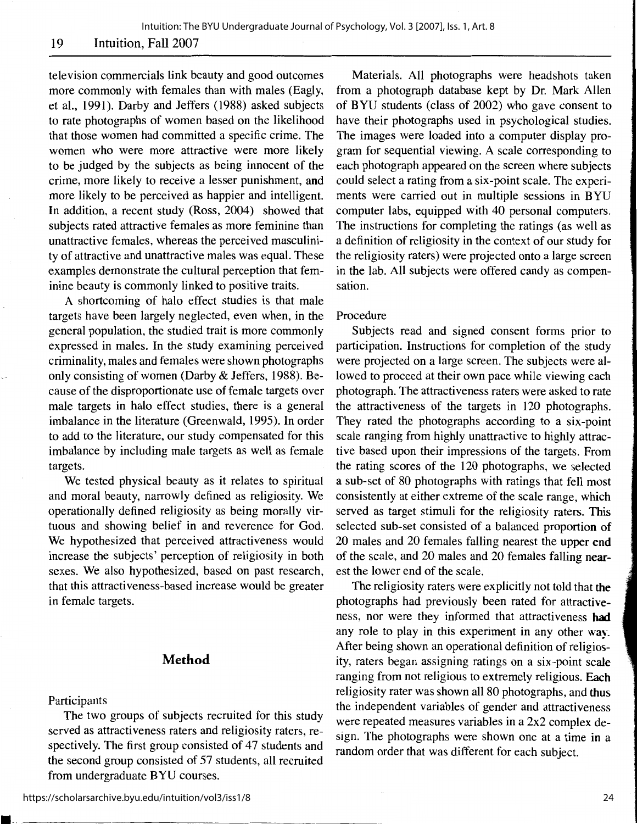#### 19 Intuition, Fall 2007

television commercials link beauty and good outcomes more commonly with females than with males (Eagly, et al., 1991). Darby and Jeffers (1988) asked subjects to rate photographs of women based on the likelihood that those women had committed a specific crime. The women who were more attractive were more likely to be judged by the subjects as being innocent of the crime, more likely to receive a lesser punishment, and more likely to be perceived as happier and intelligent. In addition, a recent study (Ross, 2004) showed that subjects rated attractive females as more feminine than unattractive females, whereas the perceived masculinity of attractive and unattractive males was equal. These examples demonstrate the cultural perception that feminine beauty is commonly linked to positive traits.

A shortcoming of halo effect studies is that male targets have been largely neglected, even when, in the general population, the studied trait is more commonly expressed in males. In the study examining perceived criminality, males and females were shown photographs only consisting of women (Darby & Jeffers, 1988). Because of the disproportionate use of female targets over male targets in halo effect studies, there is a general imbalance in the literature (Greenwald, 1995). In order to add to the literature, our study compensated for this imbalance by including male targets as well as female targets.

We tested physical beauty as it relates to spiritual and moral beauty, narrowly defined as religiosity. We operationally defined religiosity as being morally virtuous and showing belief in and reverence for God. We hypothesized that perceived attractiveness would increase the subjects' perception of religiosity in both sexes. We also hypothesized, based on past research, that this attractiveness-based increase would be greater in female targets.

#### **Method**

#### Participants

 $\blacksquare$ 

The two groups of subjects recruited for this study served as attractiveness raters and religiosity raters, respectively. The first group consisted of 47 students and the second group consisted of 57 students, all recruited from undergraduate BYU courses.

https://scholarsarchive.byu.edu/intuition/vol3/iss1/8

Materials. All photographs were headshots taken from a photograph database kept by Dr. Mark Allen of BYU students (class of 2002) who gave consent to have their photographs used in psychological studies. The images were loaded into a computer display program for sequential viewing. A scale corresponding to each photograph appeared on the screen where subjects could select a rating from a six-point scale. The experiments were carried out in multiple sessions in BYU computer labs, equipped with 40 personal computers. The instructions for completing the ratings (as well as a definition of religiosity in the context of our study for the religiosity raters) were projected onto a large screen in the lab. All subjects were offered candy as compensation.

#### Procedure

Subjects read and signed consent forms prior to participation. Instructions for completion of the study were projected on a large screen. The subjects were allowed to proceed at their own pace while viewing each photograph. The attractiveness raters were asked to rate the attractiveness of the targets in 120 photographs. They rated the photographs according to a six-point scale ranging from highly unattractive to highly attractive based upon their impressions of the targets. From the rating scores of the 120 photographs, we selected a sub-set of 80 photographs with ratings that fell most consistently at either extreme of the scale range, which served as target stimuli for the religiosity raters. This selected sub-set consisted of a balanced proportion of 20 males and 20 females falling nearest the upper end of the scale, and 20 males and 20 females falling **near**est the lower end of the scale.

The religiosity raters were explicitly not told that the photographs had previously been rated for attractiveness, nor were they informed that attractiveness **had**  any role to play in this experiment in any other way. After being shown an operational definition of religiosity, raters began assigning ratings on a six-point scale ranging from not religious to extremely religious. Each religiosity rater was shown all 80 photographs, and thus the independent variables of gender and attractiveness were repeated measures variables in a 2x2 complex design. The photographs were shown one at a time in a random order that was different for each subject.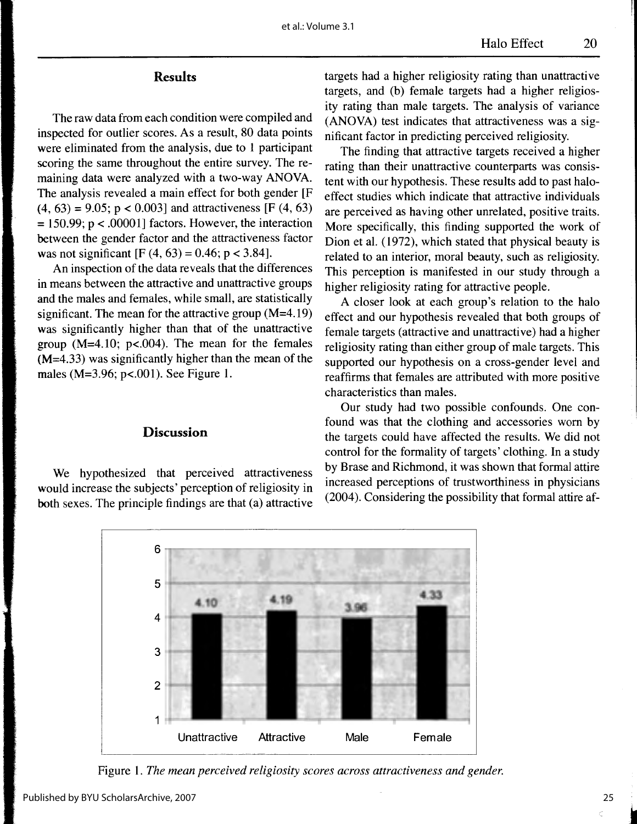#### **Results**

The raw data from each condition were compiled and inspected for outlier scores. As a result, 80 data points were eliminated from the analysis, due to 1 participant scoring the same throughout the entire survey. The remaining data were analyzed with a two-way ANOVA. The analysis revealed a main effect for both gender [F  $(4, 63) = 9.05$ ;  $p < 0.003$ ] and attractiveness [F (4, 63)  $= 150.99$ ; p < .00001] factors. However, the interaction between the gender factor and the attractiveness factor was not significant [F  $(4, 63) = 0.46$ ; p < 3.84].

An inspection of the data reveals that the differences in means between the attractive and unattractive groups and the males and females, while small, are statistically significant. The mean for the attractive group  $(M=4.19)$ was significantly higher than that of the unattractive group ( $M=4.10$ ; p<.004). The mean for the females (M=4.33) was significantly higher than the mean of the males (M=3.96; p<.001). See Figure 1.

#### **Discussion**

We hypothesized that perceived attractiveness would increase the subjects' perception of religiosity in **both** sexes. The principle findings are that (a) attractive targets had a higher religiosity rating than unattractive targets, and (b) female targets had a higher religiosity rating than male targets. The analysis of variance (ANOVA) test indicates that attractiveness was a significant factor in predicting perceived religiosity.

The finding that attractive targets received a higher rating than their unattractive counterparts was consistent with our hypothesis. These results add to past haloeffect studies which indicate that attractive individuals are perceived as having other unrelated, positive traits. More specifically, this finding supported the work of Dion et al. ( 1972), which stated that physical beauty is related to an interior, moral beauty, such as religiosity. This perception is manifested in our study through a higher religiosity rating for attractive people.

A closer look at each group's relation to the halo effect and our hypothesis revealed that both groups of female targets (attractive and unattractive) had a higher religiosity rating than either group of male targets. This supported our hypothesis on a cross-gender level and reaffirms that females are attributed with more positive characteristics than males.

Our study had two possible confounds. One confound was that the clothing and accessories worn by the targets could have affected the results. We did not control for the formality of targets' clothing. In a study by Brase and Richmond, it was shown that formal attire increased perceptions of trustworthiness in physicians (2004). Considering the possibility that formal attire af-



Figure 1. *The mean perceived religiosity scores across attractiveness and gender.* 

•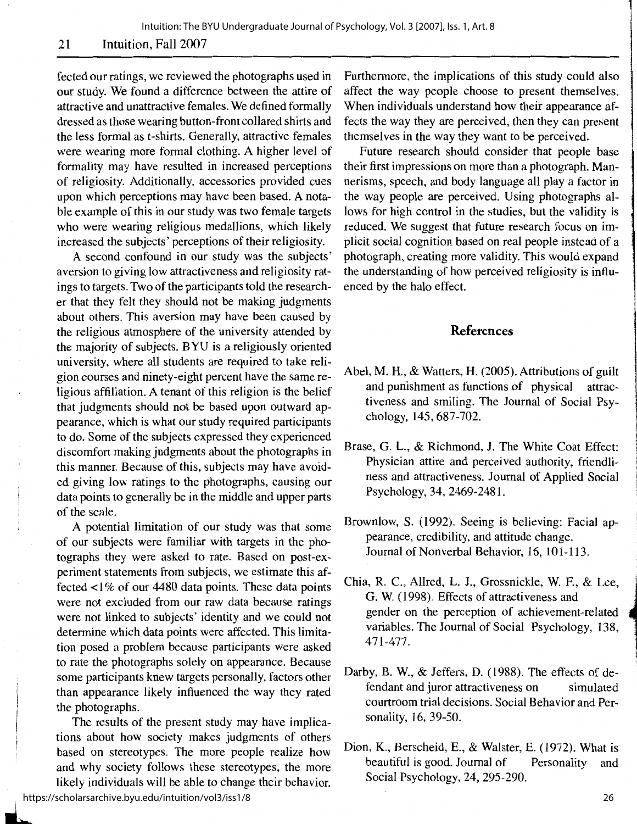#### 21 Intuition, Fall 2007

fected our ratings, we reviewed the photographs used in our study. We found a difference between the attire of attractive and unattractive females. We defined formally dressed as those wearing button-front collared shirts and the less formal as t-shirts. Generally, attractive females were wearing more formal clothing. A higher level of formality may have resulted in increased perceptions of religiosity. Additionally, accessories provided cues upon which perceptions may have been based. A notable example of this in our study was two female targets who were wearing religious medallions, which likely increased the subjects' perceptions of their religiosity.

A second confound in our study was the subjects' aversion to giving low attractiveness and religiosity ratings to targets. Two of the participants told the researcher that they felt they should not be making judgments about others. This aversion may have been caused by the religious atmosphere of the university attended by the majority of subjects. BYU is a religiously oriented university, where all students are required to take religion courses and ninety-eight percent have the same religious affiliation. A tenant of this religion is the belief that judgments should not be based upon outward appearance, which is what our study required participants to do. Some of the subjects expressed they experienced discomfort making judgments about the photographs in this manner. Because of this, subjects may have avoided giving low ratings to the photographs, causing our data points to generally be in the middle and upper parts of the scale.

A potential limitation of our study was that some of our subjects were familiar with targets in the photographs they were asked to rate. Based on post-experiment statements from subjects, we estimate this affected < 1 % of our 4480 data points. These data points were not excluded from our raw data because ratings were not linked to subjects' identity and we could not determine which data points were affected. This limitation posed a problem because participants were asked to rate the photographs solely on appearance. Because some participants knew targets personally, factors other than appearance likely influenced the way they rated the photographs.

The results of the present study may have implications about how society makes judgments of others based on stereotypes. The more people realize how and why society follows these stereotypes, the more likely individuals will be able to change their behavior. https://scholarsarchive.byu.edu/intuition/vol3/iss1/8

Furthermore, the implications of this study could also affect the way people choose to present themselves. When individuals understand how their appearance affects the way they are perceived, then they can present themselves in the way they want to be perceived.

Future research should consider that people base their first impressions on more than a photograph. Mannerisms, speech, and body language all play a factor in the way people are perceived. Using photographs allows for high control in the studies, but the validity is reduced. We suggest that future research focus on implicit social cognition based on real people instead of a photograph, creating more validity. This would expand the understanding of how perceived religiosity is influenced by the halo effect.

#### **References**

- Abel, **M. H.,** & Watters, **H.** (2005). Attributions of guilt and punishment as functions of physical attractiveness and smiling. The Journal of Social Psychology, 145, 687-702.
- Brase, G. L., & Richmond, J. The White Coat Effect: Physician attire and perceived authority, friendliness and attractiveness. Journal of Applied Social Psychology, 34, 2469-2481.
- Brownlow, S. (1992). Seeing is believing: Facial appearance, credibility, and attitude change. Journal of Nonverbal Behavior, 16, 101-113.
- Chia, **R.** C., Allred, L. J., Grossnickle, W. F., & Lee, **G. W.** (1998). Effects of attractiveness and gender on the perception of achievement-related variables. The Journal of Social Psychology, 138, 471-477.
- Darby, **B. W.,** & Jeffers, **D.** (1988). The effects of defendant and juror attractiveness on simulated courtroom trial decisions. Social Behavior and Personality, 16, 39-50.
- Dion, K., Berscheid, E., & Waister, E. (1972). What is beautiful is good. Journal of Personality and Social Psychology, 24, 295-290.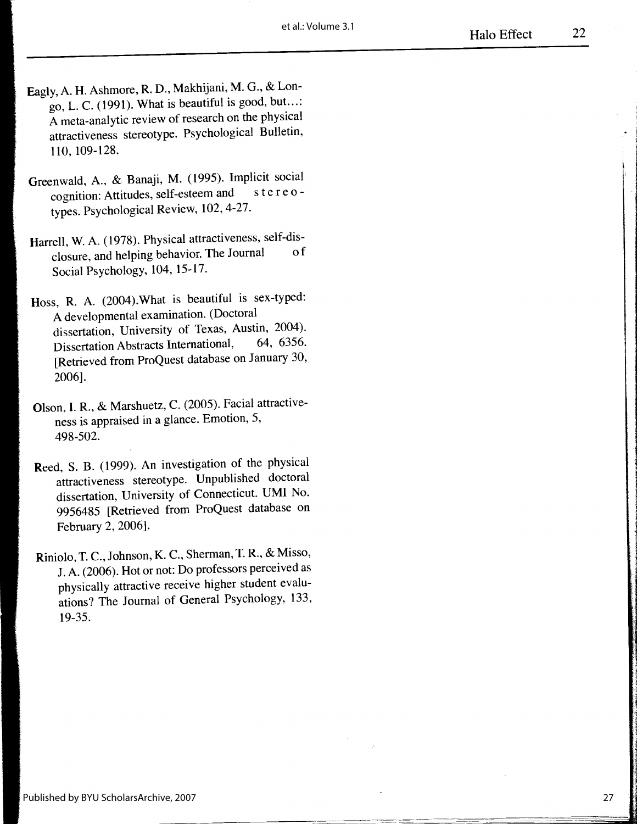-----

- Eagly, A.H. Ashmore, R. D., Makhijani, M. G., & Longo, L. C. (1991). What is beautiful is good, but...: A meta-analytic review of research on the physical attractiveness stereotype. Psychological Bulletin, 110, 109-128.
- Greenwald, A., & Banaji, M. (1995). Implicit social<br>cognition: Attitudes self-esteem and stereocognition: Attitudes, self-esteem and types. Psychological Review, 102, 4-27.
- Harrell, W. A. (1978). Physical attractiveness, self-disclosure, and helping behavior. The Journal of Social Psychology, 104, 15-17.
- **Hoss, R.** A. (2004).What is beautiful is sex-typed: A developmental examination. (Doctoral dissertation, University of Texas, Austin, 2004). Dissertation Abstracts International, 64, 6356. [Retrieved from ProQuest database on January 30, 2006].
- Olson, I. R., & Marshuetz, C. (2005). Facial attractiveness is appraised in a glance. Emotion, 5, 498-502.
- **Reed,** S. B. (1999). An investigation of the physical attractiveness stereotype. Unpublished doctoral dissertation, University of Connecticut. UMI No. 9956485 [Retrieved from ProQuest database on February 2, 2006].
- Riniolo, T. C., Johnson, K. C., Sherman, T. R., & Misso, J. A. (2006). Hot or not: Do professors perceived as physically attractive receive higher student evaluations? The Journal of General Psychology, 133, 19-35.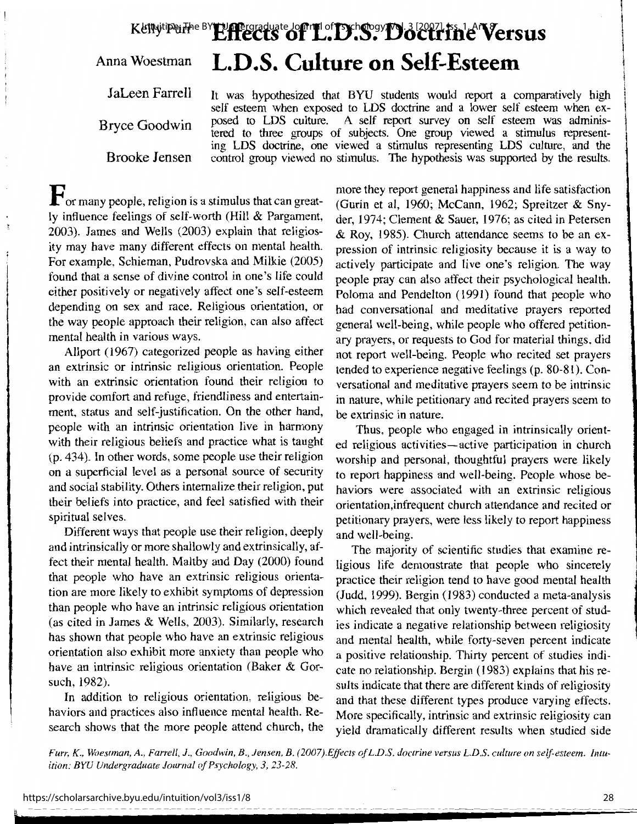## Kelly iPuthe BY<del>U Dergraduate Journal</del> of Psychology, Vol. 3 [2007], Iss. 1, Art 8<br>**Effects of L.D.S. Doctrine Versus** Anna Woestman **L.D.S. Culture on Self-Esteem**

JaLeen Farrell

I

Bryce Goodwin

Brooke Jensen

It was hypothesized that BYU students would report a comparatively high self esteem when exposed to LDS doctrine and a lower self esteem when exposed to LDS culture. A self report survey on self esteem was administered to three groups of subjects. One group viewed a stimulus representing LDS doctrine, one viewed a stimulus representing LDS culture, and the control group viewed no stimulus. The hypothesis was supported by the results.

**F** or many people, religion is a stimulus that can greatly influence feelings of self-worth (Hill & Pargament, 2003). James and Wells (2003) explain that religiosity may have many different effects on mental health. For example, Schieman, Pudrovska and Milkie (2005) found that a sense of divine control in one's life could either positively or negatively affect one's self-esteem depending on sex and race. Religious orientation, or the way people approach their religion, can also affect mental health in various ways.

Allport (1967) categorized people as having either an extrinsic or intrinsic religious orientation. People with an extrinsic orientation found their religion to provide comfort and refuge, friendliness and entertainment, status and self-justification. On the other hand, people with an intrinsic orientation live in harmony with their religious beliefs and practice what is taught (p. 434). In other words, some people use their religion on a superficial level as a personal source of security and social stability. Others internalize their religion, put their beliefs into practice, and feel satisfied with their spiritual selves.

Different ways that people use their religion, deeply and intrinsically or more shallowly and extrinsically, affect their mental health. Maltby and Day (2000) found that people who have an extrinsic religious orientation are more likely to exhibit symptoms of depression than people who have an intrinsic religious orientation (as cited in James & Wells, 2003). Similarly, research has shown that people who have an extrinsic religious orientation also exhibit more anxiety than people who have an intrinsic religious orientation (Baker & Gorsuch, 1982).

In addition to religious orientation, religious behaviors and practices also influence mental health. Research shows that the more people attend church, the more they report general happiness and life satisfaction (Gurin et al, 1960; McCann, 1962; Spreitzer & Snyder, 1974; Clement & Sauer, 1976; as cited in Petersen & Roy, 1985). Church attendance seems to be an expression of intrinsic religiosity because it is a way to actively participate and live one's religion. The way people pray can also affect their psychological health. Poloma and Pendelton ( 1991) found that people who had conversational and meditative prayers reported general well-being, while people who offered petitionary prayers, or requests to God for material things, did not report well-being. People who recited set prayers tended to experience negative feelings (p. 80-81). Conversational and meditative prayers seem to be intrinsic in nature, while petitionary and recited prayers seem to be extrinsic in nature.

Thus, people who engaged in intrinsically oriented religious activities—active participation in church worship and personal, thoughtful prayers were likely to report happiness and well-being. People whose behaviors were associated with an extrinsic religious orientation,infrequent church attendance and recited or petitionary prayers, were less likely to report happiness and well-being.

The majority of scientific studies that examine religious life demonstrate that people who sincerely practice their religion tend to have good mental health (Judd, 1999). Bergin (1983) conducted a meta-analysis which revealed that only twenty-three percent of studies indicate a negative relationship between religiosity and mental health, while forty-seven percent indicate a positive relationship. Thirty percent of studies indicate no relationship. Bergin (1983) explains that his results indicate that there are different kinds of religiosity and that these different types produce varying effects. More specifically, intrinsic and extrinsic religiosity can yield dramatically different results when studied side

*Furr, K., Woestman, A., Farrell, J., Goodwin, B., Jensen, B. (2007).E.ffects of L.D.S. doctrine versus L.D.S. culture on self-esteem. Intuition: BYU Undergraduate Journal of Psychology, 3, 23-28.* 

l

 $\mathbf{I}$ l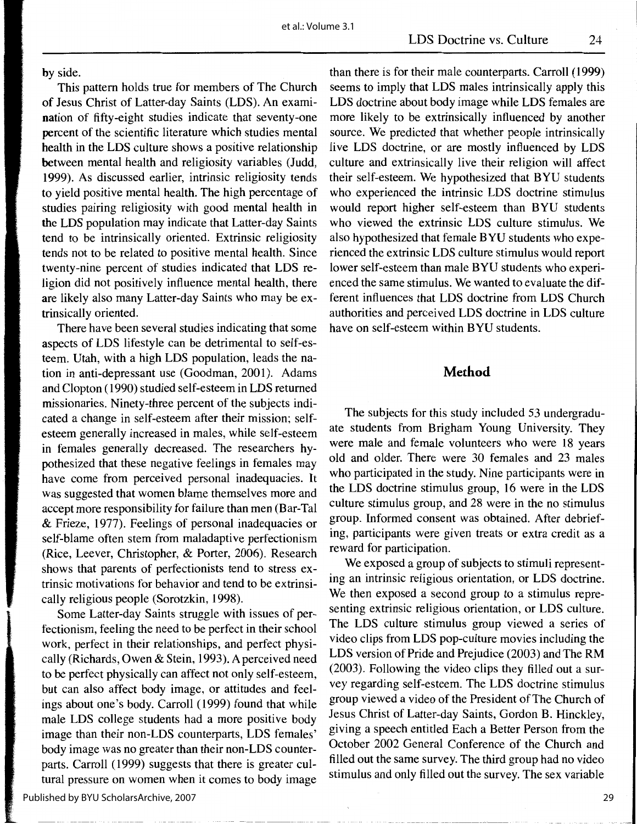**by** side.

This pattern holds true for members of The Church **of** Jesus Christ of Latter-day Saints (LDS). An examination of fifty-eight studies indicate that seventy-one percent of the scientific literature which studies mental health in the LDS culture shows a positive relationship between mental health and religiosity variables (Judd, 1999). As discussed earlier, intrinsic religiosity tends to yield positive mental health. The high percentage of studies pairing religiosity with good mental health in the LDS population may indicate that Latter-day Saints tend to be intrinsically oriented. Extrinsic religiosity tends not to be related to positive mental health. Since twenty-nine percent of studies indicated that LDS religion did not positively influence mental health, there are likely also many Latter-day Saints who may be extrinsically oriented.

There have been several studies indicating that some aspects of LDS lifestyle can be detrimental to self-esteem. Utah, with a high LDS population, leads the nation in anti-depressant use (Goodman, 2001). Adams and Clopton (1990) studied self-esteem in LDS returned missionaries. Ninety-three percent of the subjects indicated a change in self-esteem after their mission; selfesteem generally increased in males, while self-esteem in females generally decreased. The researchers hypothesized that these negative feelings in females may have come from perceived personal inadequacies. It was suggested that women blame themselves more and accept more responsibility for failure than men (Bar-Tal & Frieze, 1977). Feelings of personal inadequacies or self-blame often stem from maladaptive perfectionism (Rice, Leever, Christopher, & Porter, 2006). Research shows that parents of perfectionists tend to stress extrinsic motivations for behavior and tend to be extrinsically religious people (Sorotzkin, 1998).

Some Latter-day Saints struggle with issues of perfectionism, feeling the need to be perfect in their school work, perfect in their relationships, and perfect physically (Richards, Owen & Stein, 1993). A perceived need to be perfect physically can affect not only self-esteem, but can also affect body image, or attitudes and feelings about one's body. Carroll (1999) found that while male LOS college students had a more positive body image than their non-LDS counterparts, LDS females' body image was no greater than their non-LDS counterparts. Carroll (1999) suggests that there is greater cultural pressure on women when it comes to body image

Published by BYU ScholarsArchive, 2007

than there is for their male counterparts. Carroll ( 1999) seems to imply that LDS males intrinsically apply this LDS doctrine about body image while LDS females are more likely to be extrinsically influenced by another source. We predicted that whether people intrinsically live LDS doctrine, or are mostly influenced by LDS culture and extrinsically live their religion will affect their self-esteem. We hypothesized that BYU students who experienced the intrinsic LDS doctrine stimulus would report higher self-esteem than BYU students who viewed the extrinsic LDS culture stimulus. We also hypothesized that female BYU students who experienced the extrinsic LDS culture stimulus would report lower self-esteem than male BYU students who experienced the same stimulus. We wanted to evaluate the different influences that LDS doctrine from LDS Church authorities and perceived LDS doctrine in LDS culture have on self-esteem within BYU students.

#### **Method**

The subjects for this study included 53 undergraduate students from Brigham Young University. They were male and female volunteers who were 18 years old and older. There were 30 females and 23 males who participated in the study. Nine participants were in the LDS doctrine stimulus group, 16 were in the LDS culture stimulus group, and 28 were in the no stimulus group. Informed consent was obtained. After debriefing, participants were given treats or extra credit as a reward for participation.

We exposed a group of subjects to stimuli representing an intrinsic religious orientation, or LDS doctrine. We then exposed a second group to a stimulus representing extrinsic religious orientation, or LDS culture. The LDS culture stimulus group viewed a series of video clips from LDS pop-culture movies including the LDS version of Pride and Prejudice (2003) and The RM (2003). Following the video clips they filled out a survey regarding self-esteem. The LDS doctrine stimulus group viewed a video of the President of The Church of Jesus Christ of Latter-day Saints, Gordon B. Hinckley, giving a speech entitled Each a Better Person from the October 2002 General Conference of the Church and filled out the same survey. The third group had no video stimulus and only filled out the survey. The sex variable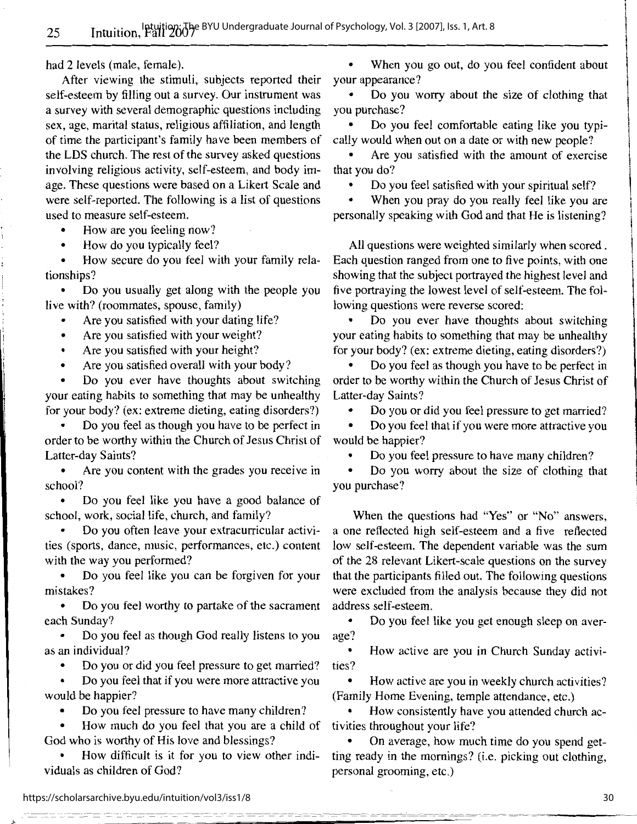had 2 levels (male, female).

After viewing the stimuli, subjects reported their self-esteem by filling out a survey. Our instrument was a survey with several demographic questions including sex, age, marital status, religious affiliation, and length of time the participant's family have been members of the LDS church. The rest of the survey asked questions involving religious activity, self-esteem, and body image. These questions were based on a Likert Scale and were self-reported. The following is a list of questions used to measure self-esteem.

• How are you feeling now?

• How do you typically feel?

• How secure do you feel with your family relationships?

• Do you usually get along with the people you live with? (roommates, spouse, family)

Are you satisfied with your dating life?

• Are you satisfied with your weight?

• Are you satisfied with your height?

Are you satisfied overall with your body?

• Do you ever have thoughts about switching your eating habits to something that may be unhealthy for your body? (ex: extreme dieting, eating disorders?)

• Do you feel as though you have to be perfect in order to be worthy within the Church of Jesus Christ of Latter-day Saints?

Are you content with the grades you receive in school?

• Do you feel like you have a good balance of school, work, social life, church, and family?

• Do you often leave your extracurricular activities (sports, dance, music, performances, etc.) content with the way you performed?

• Do you feel like you can be forgiven for your mistakes?

• Do you feel worthy to partake of the sacrament each Sunday?

• Do you feel as though God really listens to you as an individual?

• Do you or did you feel pressure to get married?

• Do you feel that if you were more attractive you would be happier?

• Do you feel pressure to have many children?

• How much do you feel that you are a child of God who is worthy of His love and blessings?

How difficult is it for you to view other individuals as children of God?

- - -- - -- - -- - - - ----\_ ----- - - -- --- -\_\_ ---\_-- ---- -

When you go out, do you feel confident about your appearance?

**12.** 

I

• Do you worry about the size of clothing that you purchase?

• Do you feel comfortable eating like you typica11y would when out on a date or with new people?

Are you satisfied with the amount of exercise that you do?

• Do you feel satisfied with your spiritual self?

When you pray do you really feel like you are personally speaking with God and that He is listening?

All questions were weighted similarly when scored . Each question ranged from one to five points, with one showing that the subject portrayed the highest level and five portraying the lowest level of self-esteem. The following questions were reverse scored:

• Do you ever have thoughts about switching your eating habits to something that may be unhealthy for your body? (ex: extreme dieting, eating disorders?)

• Do you feel as though you have to be perfect in order to be worthy within the Church of Jesus Christ of Latter-day Saints?

• Do you or did you feel pressure to get married?

• Do you feel that if you were more attractive you would be happier?

• Do you feel pressure to have many children?

• Do you worry about the size of clothing that you purchase?

When the questions had "Yes" or "No" answers, a one reflected high self-esteem and a five reflected low self-esteem. The dependent variable was the sum of the 28 relevant Likert-scale questions on the survey that the participants filled out. The following questions were excluded from the analysis because they did not address self-esteem.

• Do you feel like you get enough sleep on average?

• How active are you in Church Sunday activities?

• How active are you in weekly church activities? (Family Home Evening, temple attendance, etc.)

How consistently have you attended church activities throughout your life?

• On average, how much time do you spend getting ready in the mornings? (i.e. picking out clothing, personal grooming, etc.)

https://scholarsarchive.byu.edu/intuition/vol3/iss1/8

.t;: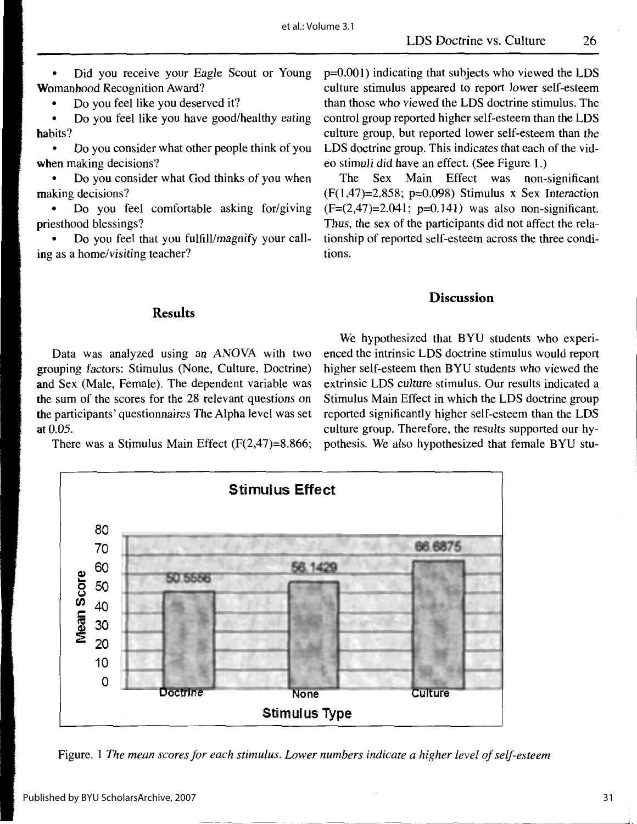Did you receive your Eagle Scout or Young Womanhood Recognition Award?

• Do you feel like you deserved it?

• Do you feel like you have good/healthy eating habits?

• Do you consider what other people think of you **when** making decisions?

• Do you consider what God thinks of you when making decisions?

• Do you feel comfortable asking for/giving priesthood blessings?

• Do you feel that you fulfill/magnify your calling as a home/visiting teacher?

p=0.001) indicating that subjects who viewed the LDS culture stimulus appeared to report lower self-esteem than those who viewed the LDS doctrine stimulus. The control group reported higher self-esteem than the LDS culture group, but reported lower self-esteem than the LDS doctrine group. This indicates that each of the video stimuli did have an effect. (See Figure 1.)

The Sex Main Effect was non-significant  $(F(1, 47)=2.858; p=0.098)$  Stimulus x Sex Interaction  $(F=(2,47)=2.041; p=0.141)$  was also non-significant. Thus, the sex of the participants did not affect the relationship of reported self-esteem across the three conditions.

#### **Discussion**

#### **Results**

Data was analyzed using an ANOVA with two grouping factors: Stimulus (None, Culture, Doctrine) **and** Sex (Male, Female). The dependent variable was **the** sum of the scores for the 28 relevant questions on **the** participants' questionnaires The Alpha level was set **at** 0.05.

There was a Stimulus Main Effect (F(2,47)=8.866;

We hypothesized that BYU students who experienced the intrinsic LDS doctrine stimulus would report higher self-esteem then BYU students who viewed the extrinsic LDS culture stimulus. Our results indicated a Stimulus Main Effect in which the LDS doctrine group reported significantly higher self-esteem than the LDS culture group. Therefore, the results supported our hypothesis. We also hypothesized that female BYU stu-



Figure. 1 *The mean scores for each stimulus. Lower numbers indicate a higher level of self-esteem* 

**J,.**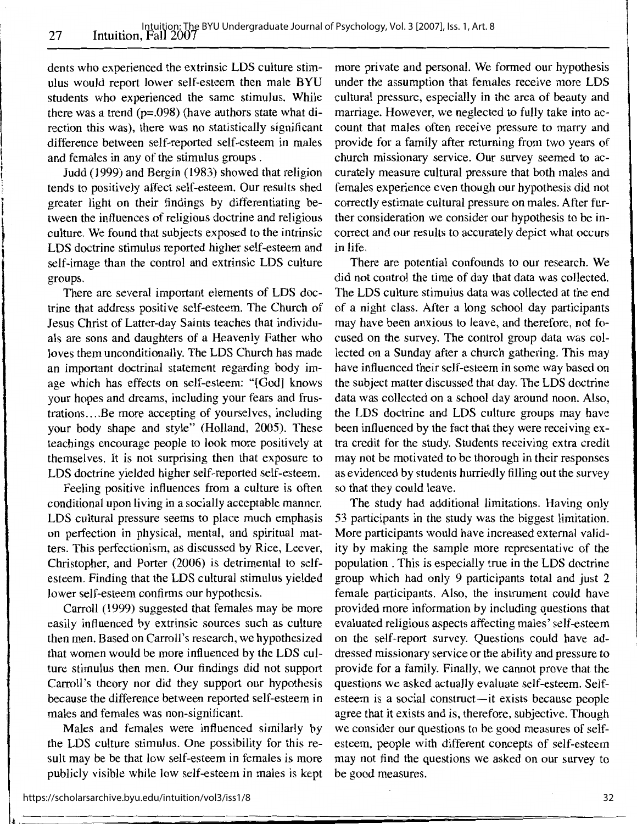dents who experienced the extrinsic LDS culture stimulus would report lower self-esteem then male BYU students who experienced the same stimulus. While there was a trend  $(p=0.098)$  (have authors state what direction this was), there was no statistically significant difference between self-reported self-esteem in males and females in any of the stimulus groups .

Judd (1999) and Bergin (1983) showed that religion tends to positively affect self-esteem. Our results shed greater light on their findings by differentiating between the influences of religious doctrine and religious culture. We found that subjects exposed to the intrinsic LDS doctrine stimulus reported higher self-esteem and self-image than the control and extrinsic LDS culture groups.

i

l

There are several important elements of LDS doctrine that address positive self-esteem. The Church of Jesus Christ of Latter-day Saints teaches that individuals are sons and daughters of a Heavenly Father who loves them unconditionally. The LDS Church has made an important doctrinal statement regarding body image which has effects on self-esteem: "[God] knows your hopes and dreams, including your fears and frustrations .... Be more accepting of yourselves, including your body shape and style" (Holland, 2005). These teachings encourage people to look more positively at themselves. It is not surprising then that exposure to LDS doctrine yielded higher self-reported self-esteem.

Feeling positive influences from a culture is often conditional upon living in a socially acceptable manner. LDS cultural pressure seems to place much emphasis on perfection in physical, mental, and spiritual matters. This perfectionism, as discussed by Rice, Leever, Christopher, and Porter (2006) is detrimental to selfesteem. Finding that the LDS cultural stimulus yielded lower self-esteem confirms our hypothesis.

Carroll (1999) suggested that females may be more easily influenced by extrinsic sources such as culture then men. Based on Carroll's research, we hypothesized that women would be more influenced by the LDS culture stimulus then men. Our findings did not support Carroll's theory nor did they support our hypothesis because the difference between reported self-esteem in males and females was non-significant.

Males and females were influenced similarly by the LDS culture stimulus. One possibility for this result may be be that low self-esteem in females is more publicly visible while low self-esteem in males is kept more private and personal. We formed our hypothesis under the assumption that females receive more LDS cultural pressure, especially in the area of beauty and marriage. However, we neglected to fully take into account that males often receive pressure to marry and provide for a family after returning from two years of church missionary service. Our survey seemed to accurately measure cultural pressure that both males and females experience even though our hypothesis did not correctly estimate cultural pressure on males. After further consideration we consider our hypothesis to be incorrect and our results to accurately depict what occurs in life.

There are potential confounds to our research. We did not control the time of day that data was collected. The LDS culture stimulus data was collected at the end of a night class. After a long school day participants may have been anxious to leave, and therefore, not focused on the survey. The control group data was collected on a Sunday after a church gathering. This may have influenced their self-esteem in some way based on the subject matter discussed that day. The LDS doctrine data was collected on a school day around noon. Also, the LDS doctrine and LDS culture groups may have been influenced by the fact that they were receiving extra credit for the study. Students receiving extra credit may not be motivated to be thorough in their responses as evidenced by students hurriedly filling out the survey so that they could leave.

The study had additional limitations. Having only 53 participants in the study was the biggest limitation. More participants would have increased external validity by making the sample more representative of the population . This is especially true in the LDS doctrine group which had only 9 participants total and just 2 female participants. Also, the instrument could have provided more information by including questions that evaluated religious aspects affecting males' self-esteem on the self-report survey. Questions could have addressed missionary service or the ability and pressure to provide for a family. Finally, we cannot prove that the questions we asked actually evaluate self-esteem. Selfesteem is a social construct-it exists because people agree that it exists and is, therefore, subjective. Though we consider our questions to be good measures of selfesteem, people with different concepts of self-esteem may not find the questions we asked on our survey to be good measures.

https://scholarsarchive.byu.edu/intuition/vol3/iss1/8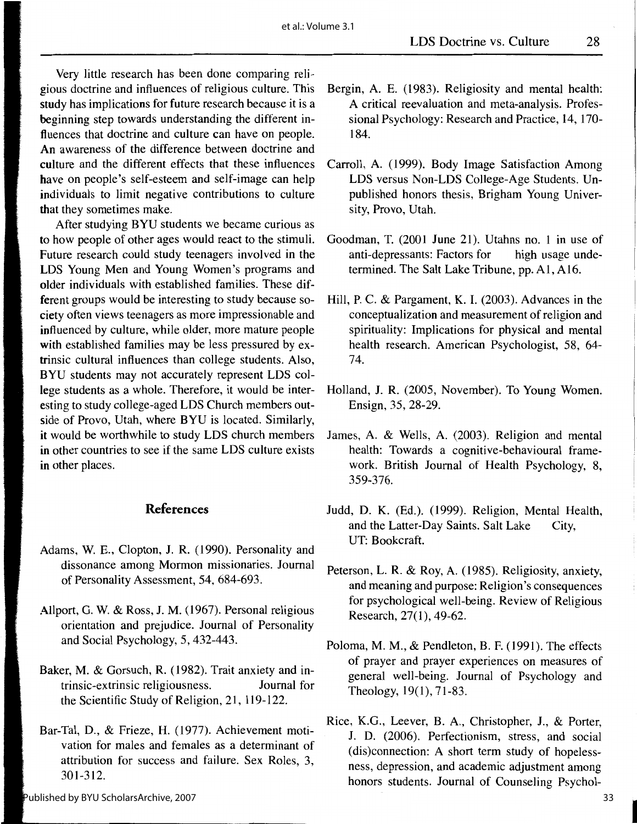Very little research has been done comparing religious doctrine and influences of religious culture. This study has implications for future research because it is a beginning step towards understanding the different influences that doctrine and culture can have on people. **An** awareness of the difference between doctrine and culture and the different effects that these influences have on people's self-esteem and self-image can help individuals to limit negative contributions to culture that they sometimes make.

After studying BYU students we became curious as **to** how people of other ages would react to the stimuli. Future research could study teenagers involved in the **LOS** Young Men and Young Women's programs and older individuals with established families. These different groups would be interesting to study because society often views teenagers as more impressionable and influenced by culture, while older, more mature people **with** established families may be less pressured by extrinsic cultural influences than college students. Also, **BYU** students may not accurately represent LOS college students as a whole. Therefore, it would be interesting to study college-aged LOS Church members outside of Provo, Utah, where BYU is located. Similarly, **it** would be worthwhile to study LOS church members in other countries to see if the same LOS culture exists **in** other places.

#### **References**

- Adams, W. E., Clopton, J. R. (1990). Personality and dissonance among Mormon missionaries. Journal of Personality Assessment, 54, 684-693.
- Allport, G. W. & Ross, J.M. (1967). Personal religious orientation and prejudice. Journal of Personality and Social Psychology, 5, 432-443.
- Baker, M. & Gorsuch, R. ( 1982). Trait anxiety and intrinsic-extrinsic religiousness. Journal for the Scientific Study of Religion, 21, 119-122.
- Bar-Tal, D., & Frieze, H. (1977). Achievement motivation for males and females as a determinant of attribution for success and failure. Sex Roles, 3, 301-312.
- Bergin, A. E. (1983). Religiosity and mental health: A critical reevaluation and meta-analysis. Professional Psychology: Research and Practice, 14, 170- 184.
- Carroll, A. (1999). Body Image Satisfaction Among LOS versus Non-LOS College-Age Students. Unpublished honors thesis, Brigham Young University, Provo, Utah.
- Goodman, T. (2001 June 21). Utahns no. 1 in use of anti-depressants: Factors for high usage undetermined. The Salt Lake Tribune, pp. A1, A16.
- Hill, P. C. & Pargament, K. I. (2003). Advances in the conceptualization and measurement of religion and spirituality: Implications for physical and mental health research. American Psychologist, 58, 64- 74.
- Holland, J. R. (2005, November). To Young Women. Ensign, 35, 28-29.
- James, A. & Wells, A. (2003). Religion and mental health: Towards a cognitive-behavioural framework. British Journal of Health Psychology, 8, 359-376.
- Judd, D. K. (Ed.). (1999). Religion, Mental Health, and the Latter-Day Saints. Salt Lake City, UT: Bookcraft.
- Peterson, L. **R.** & Roy, A. ( 1985). Religiosity, anxiety, and meaning and purpose: Religion's consequences for psychological well-being. Review of Religious Research, 27(1), 49-62.
- Poloma, **M. M.,** & Pendleton, **B.** F. (1991). The effects of prayer and prayer experiences on measures of general well-being. Journal of Psychology and Theology,  $19(1)$ ,  $71-83$ .
- Rice, K.G., Leever, B. A., Christopher, J., & Porter, J. D. (2006). Perfectionism, stress, and social (dis)connection: A short term study of hopelessness, depression, and academic adjustment among honors students. Journal of Counseling Psychol-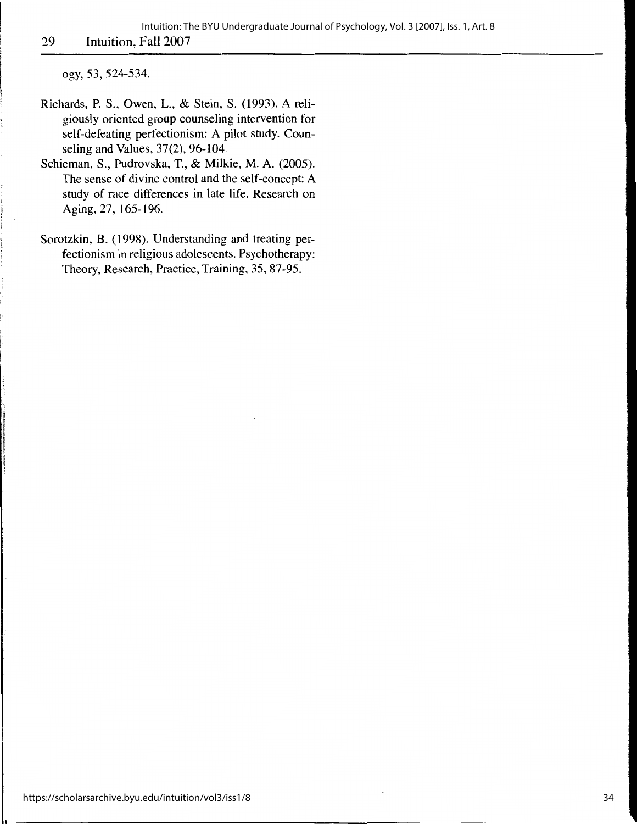29 Intuition, Fall 2007

ogy, 53, 524-534.

- Richards, P. S., Owen, L., & Stein, S. (1993). A religiously oriented group counseling intervention for self-defeating perfectionism: A pilot study. Counseling and Values, 37(2), 96-104.
- Schieman, S., Pudrovska, T., & Milkie, M. A. (2005). The sense of divine control and the self-concept: A study of race differences in late life. Research on Aging, 27, 165-196.
- Sorotzkin, B. (1998). Understanding and treating perfectionism in religious adolescents. Psychotherapy: Theory, Research, Practice, Training, 35, 87-95.

l á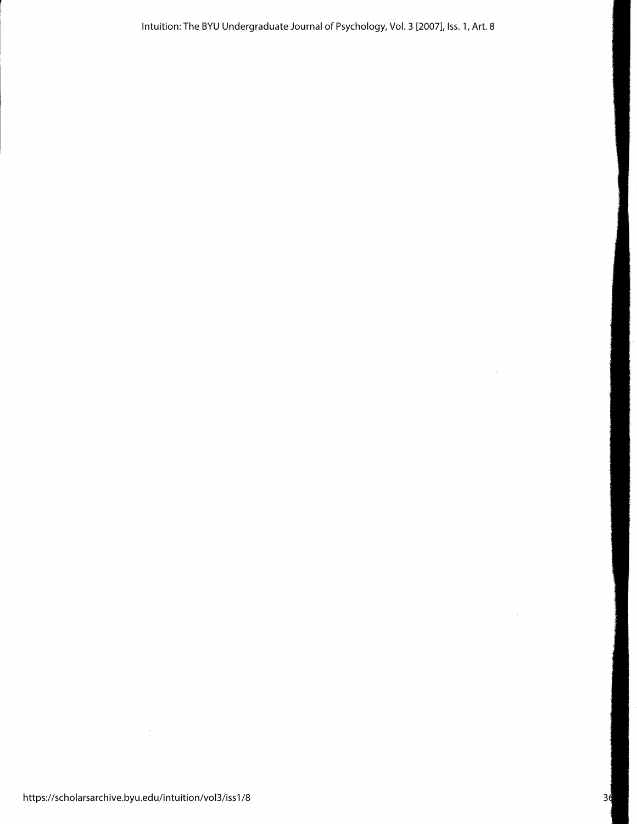https://scholarsarchive.byu.edu/intuition/vol3/iss1/8